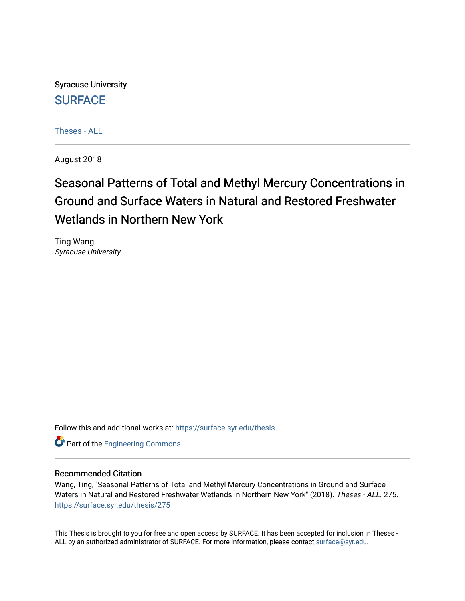Syracuse University **[SURFACE](https://surface.syr.edu/)** 

[Theses - ALL](https://surface.syr.edu/thesis)

August 2018

# Seasonal Patterns of Total and Methyl Mercury Concentrations in Ground and Surface Waters in Natural and Restored Freshwater Wetlands in Northern New York

Ting Wang Syracuse University

Follow this and additional works at: [https://surface.syr.edu/thesis](https://surface.syr.edu/thesis?utm_source=surface.syr.edu%2Fthesis%2F275&utm_medium=PDF&utm_campaign=PDFCoverPages)

Part of the [Engineering Commons](http://network.bepress.com/hgg/discipline/217?utm_source=surface.syr.edu%2Fthesis%2F275&utm_medium=PDF&utm_campaign=PDFCoverPages)

### Recommended Citation

Wang, Ting, "Seasonal Patterns of Total and Methyl Mercury Concentrations in Ground and Surface Waters in Natural and Restored Freshwater Wetlands in Northern New York" (2018). Theses - ALL. 275. [https://surface.syr.edu/thesis/275](https://surface.syr.edu/thesis/275?utm_source=surface.syr.edu%2Fthesis%2F275&utm_medium=PDF&utm_campaign=PDFCoverPages)

This Thesis is brought to you for free and open access by SURFACE. It has been accepted for inclusion in Theses - ALL by an authorized administrator of SURFACE. For more information, please contact [surface@syr.edu](mailto:surface@syr.edu).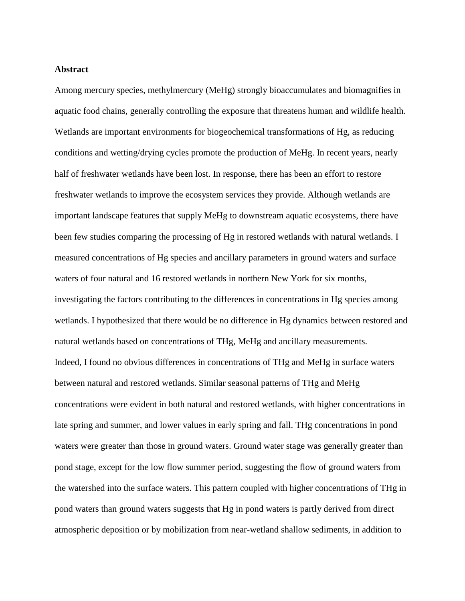### **Abstract**

Among mercury species, methylmercury (MeHg) strongly bioaccumulates and biomagnifies in aquatic food chains, generally controlling the exposure that threatens human and wildlife health. Wetlands are important environments for biogeochemical transformations of Hg, as reducing conditions and wetting/drying cycles promote the production of MeHg. In recent years, nearly half of freshwater wetlands have been lost. In response, there has been an effort to restore freshwater wetlands to improve the ecosystem services they provide. Although wetlands are important landscape features that supply MeHg to downstream aquatic ecosystems, there have been few studies comparing the processing of Hg in restored wetlands with natural wetlands. I measured concentrations of Hg species and ancillary parameters in ground waters and surface waters of four natural and 16 restored wetlands in northern New York for six months, investigating the factors contributing to the differences in concentrations in Hg species among wetlands. I hypothesized that there would be no difference in Hg dynamics between restored and natural wetlands based on concentrations of THg, MeHg and ancillary measurements. Indeed, I found no obvious differences in concentrations of THg and MeHg in surface waters between natural and restored wetlands. Similar seasonal patterns of THg and MeHg concentrations were evident in both natural and restored wetlands, with higher concentrations in late spring and summer, and lower values in early spring and fall. THg concentrations in pond waters were greater than those in ground waters. Ground water stage was generally greater than pond stage, except for the low flow summer period, suggesting the flow of ground waters from the watershed into the surface waters. This pattern coupled with higher concentrations of THg in pond waters than ground waters suggests that Hg in pond waters is partly derived from direct atmospheric deposition or by mobilization from near-wetland shallow sediments, in addition to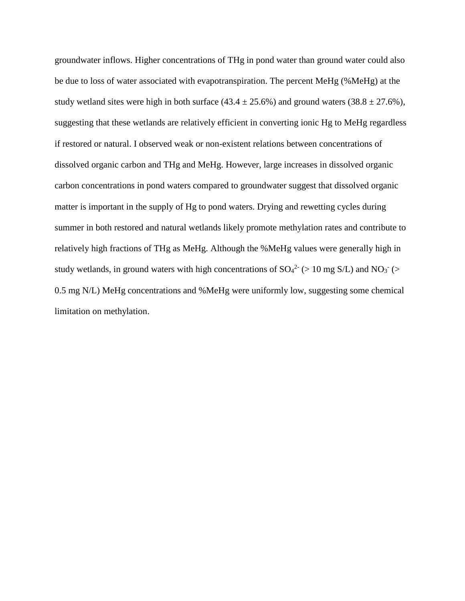groundwater inflows. Higher concentrations of THg in pond water than ground water could also be due to loss of water associated with evapotranspiration. The percent MeHg (%MeHg) at the study wetland sites were high in both surface (43.4  $\pm$  25.6%) and ground waters (38.8  $\pm$  27.6%), suggesting that these wetlands are relatively efficient in converting ionic Hg to MeHg regardless if restored or natural. I observed weak or non-existent relations between concentrations of dissolved organic carbon and THg and MeHg. However, large increases in dissolved organic carbon concentrations in pond waters compared to groundwater suggest that dissolved organic matter is important in the supply of Hg to pond waters. Drying and rewetting cycles during summer in both restored and natural wetlands likely promote methylation rates and contribute to relatively high fractions of THg as MeHg. Although the %MeHg values were generally high in study wetlands, in ground waters with high concentrations of  $SO_4^2$  (> 10 mg S/L) and NO<sub>3</sub> (> 0.5 mg N/L) MeHg concentrations and %MeHg were uniformly low, suggesting some chemical limitation on methylation.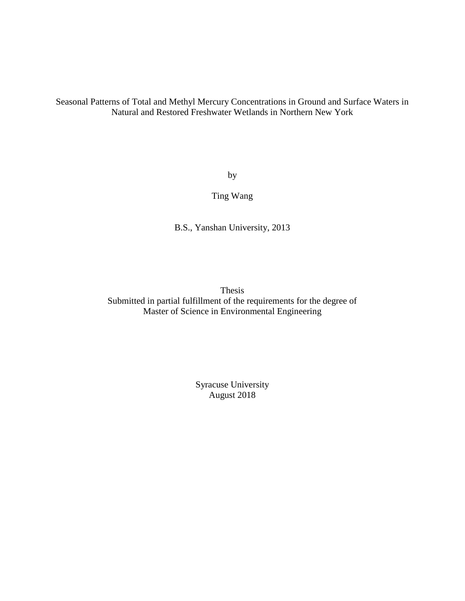Seasonal Patterns of Total and Methyl Mercury Concentrations in Ground and Surface Waters in Natural and Restored Freshwater Wetlands in Northern New York

by

Ting Wang

B.S., Yanshan University, 2013

Thesis Submitted in partial fulfillment of the requirements for the degree of Master of Science in Environmental Engineering

> Syracuse University August 2018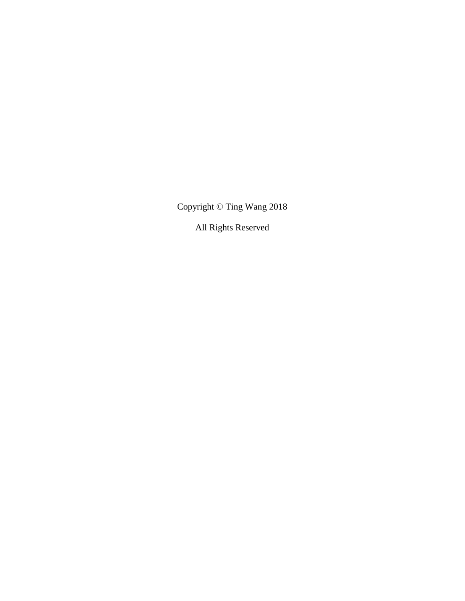Copyright © Ting Wang 2018

All Rights Reserved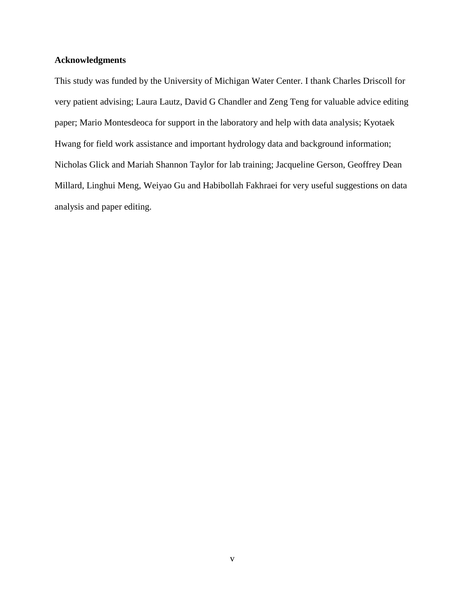### **Acknowledgments**

This study was funded by the University of Michigan Water Center. I thank Charles Driscoll for very patient advising; Laura Lautz, David G Chandler and Zeng Teng for valuable advice editing paper; Mario Montesdeoca for support in the laboratory and help with data analysis; Kyotaek Hwang for field work assistance and important hydrology data and background information; Nicholas Glick and Mariah Shannon Taylor for lab training; Jacqueline Gerson, Geoffrey Dean Millard, Linghui Meng, Weiyao Gu and Habibollah Fakhraei for very useful suggestions on data analysis and paper editing.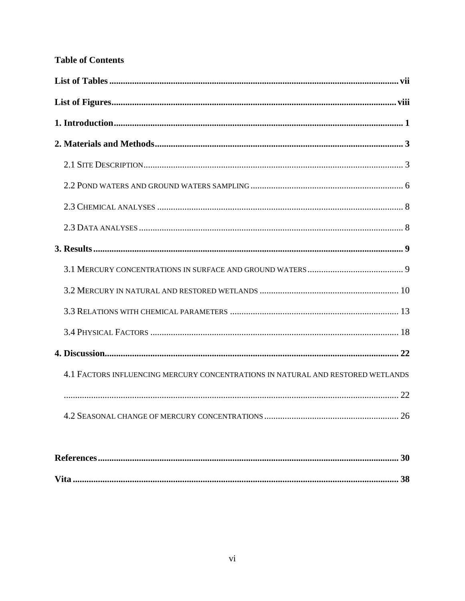# **Table of Contents**

| 4.1 FACTORS INFLUENCING MERCURY CONCENTRATIONS IN NATURAL AND RESTORED WETLANDS |  |
|---------------------------------------------------------------------------------|--|
|                                                                                 |  |
|                                                                                 |  |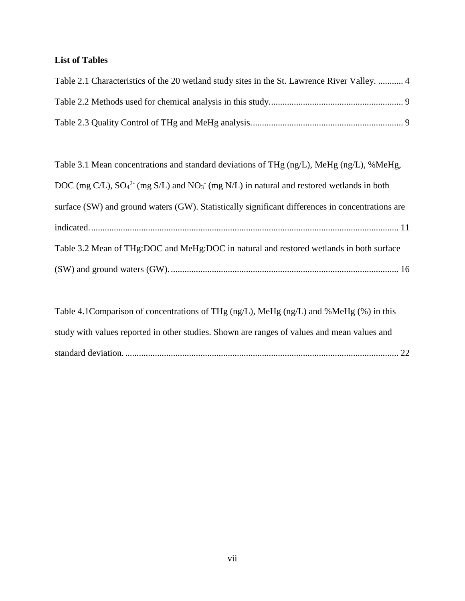# <span id="page-7-0"></span>**List of Tables**

| Table 2.1 Characteristics of the 20 wetland study sites in the St. Lawrence River Valley.  4 |  |
|----------------------------------------------------------------------------------------------|--|
|                                                                                              |  |
|                                                                                              |  |

| Table 3.1 Mean concentrations and standard deviations of THg (ng/L), MeHg (ng/L), %MeHg,         |
|--------------------------------------------------------------------------------------------------|
| DOC (mg C/L), $SO_4^2$ (mg S/L) and $NO_3$ (mg N/L) in natural and restored wetlands in both     |
| surface (SW) and ground waters (GW). Statistically significant differences in concentrations are |
|                                                                                                  |
| Table 3.2 Mean of THg:DOC and MeHg:DOC in natural and restored wetlands in both surface          |
|                                                                                                  |

| study with values reported in other studies. Shown are ranges of values and mean values and |  |
|---------------------------------------------------------------------------------------------|--|
|                                                                                             |  |
|                                                                                             |  |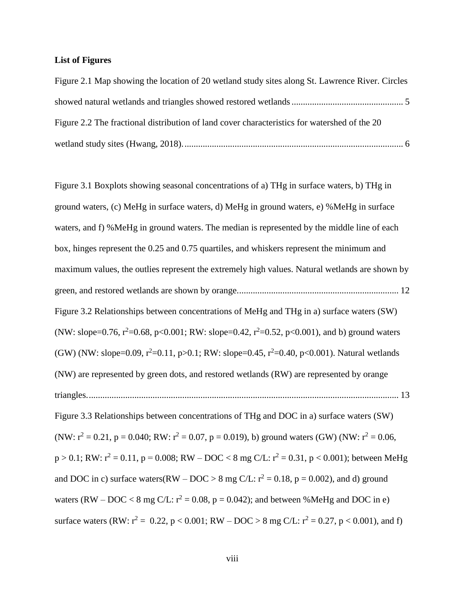### <span id="page-8-0"></span>**List of Figures**

| Figure 2.1 Map showing the location of 20 wetland study sites along St. Lawrence River. Circles |  |
|-------------------------------------------------------------------------------------------------|--|
|                                                                                                 |  |
| Figure 2.2 The fractional distribution of land cover characteristics for watershed of the 20    |  |
|                                                                                                 |  |

[Figure 3.1 Boxplots showing seasonal concentrations of a\) THg in surface waters, b\) THg in](#page-21-0)  [ground waters, \(c\) MeHg in surface waters, d\) MeHg in ground waters, e\) %MeHg in surface](#page-21-0)  waters, and f) [%MeHg in ground waters. The median is represented by the middle line of each](#page-21-0)  [box, hinges represent the 0.25 and 0.75 quartiles, and whiskers represent the minimum and](#page-21-0)  maximum values, [the outlies represent the extremely high values. Natural wetlands are shown by](#page-21-0)  [green, and restored wetlands are shown by orange.......................................................................](#page-21-0) 12 [Figure 3.2 Relationships between concentrations of MeHg and THg in a\) surface waters \(SW\)](#page-22-1)  (NW: slope=0.76,  $r^2$ =0.68, p<0.001; RW: slope=0.42,  $r^2$ =0.52, p<0.001), and b) ground waters (GW) (NW: slope=0.09,  $r^2$ =0.11, p>0.1; RW: slope=0.45,  $r^2$ =0.40, p<0.001). Natural wetlands [\(NW\) are represented by green dots, and restored wetlands \(RW\) are represented by orange](#page-22-1)  [triangles.........................................................................................................................................](#page-22-1) 13 [Figure 3.3 Relationships between concentrations of THg and DOC in a\) surface waters \(SW\)](#page-24-0)  (NW:  $r^2 = 0.21$ , p = 0.040; RW:  $r^2 = 0.07$ , p = 0.019), b) ground waters (GW) (NW:  $r^2 = 0.06$ ,  $p > 0.1$ ; RW:  $r^2 = 0.11$ ,  $p = 0.008$ ; RW – DOC < 8 mg C/L:  $r^2 = 0.31$ ,  $p < 0.001$ ); between MeHg [and DOC in c\) surface waters\(RW –](#page-24-0) DOC > 8 mg C/L:  $r^2 = 0.18$ , p = 0.002), and d) ground waters (RW – DOC < 8 mg C/L:  $r^2 = 0.08$ , p = 0.042); and between %MeHg and DOC in e) surface waters (RW:  $r^2 = 0.22$ ,  $p < 0.001$ ; RW – DOC > 8 mg C/L:  $r^2 = 0.27$ ,  $p < 0.001$ ), and f)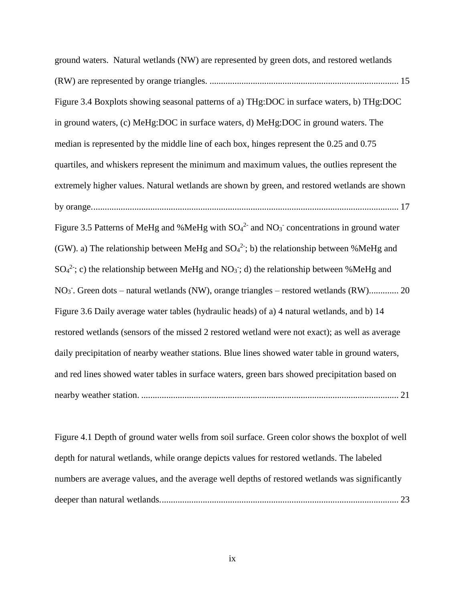[ground waters. Natural wetlands \(NW\) are represented by](#page-24-0) green dots, and restored wetlands (RW) are represented by orange triangles. [...................................................................................](#page-24-0) 15 [Figure 3.4 Boxplots showing seasonal patterns of a\) THg:DOC in surface waters, b\) THg:DOC](#page-26-0)  [in ground waters, \(c\) MeHg:DOC in surface waters, d\) MeHg:DOC in ground waters. The](#page-26-0)  [median is represented by the middle line of each box, hinges represent the 0.25 and 0.75](#page-26-0)  [quartiles, and whiskers represent the minimum and maximum values,](#page-26-0) the outlies represent the [extremely higher values. Natural wetlands are shown by green, and restored wetlands are shown](#page-26-0)  [by orange.......................................................................................................................................](#page-26-0) 17 Figure 3.5 Patterns of MeHg and %MeHg with  $SO_4^2$  and  $NO_3$  concentrations in ground water (GW). a) The relationship between MeHg and  $SO_4^2$ ; b) the relationship between %MeHg and  $SO_4^2$ [; c\) the relationship between MeHg and NO](#page-29-0)<sub>3</sub>; d) the relationship between %MeHg and NO<sub>3</sub>. Green dots – [natural wetlands \(NW\), orange triangles –](#page-29-0) restored wetlands (RW).............. 20 [Figure 3.6 Daily average water tables \(hydraulic heads\) of a\) 4 natural wetlands, and b\) 14](#page-30-1)  [restored wetlands \(sensors of the missed 2 restored wetland were not exact\); as well as average](#page-30-1)  [daily precipitation of nearby weather stations. Blue lines showed water table in ground waters,](#page-30-1)  [and red lines showed water tables in surface waters, green bars showed precipitation based on](#page-30-1)  nearby weather station. [.................................................................................................................](#page-30-1) 21

[Figure 4.1 Depth of ground water wells from soil surface. Green color shows the boxplot of well](#page-32-0)  [depth for natural wetlands, while orange depicts values for restored wetlands. The labeled](#page-32-0)  [numbers are average values, and the average well depths of restored wetlands was significantly](#page-32-0)  [deeper than natural wetlands.........................................................................................................](#page-32-0) 23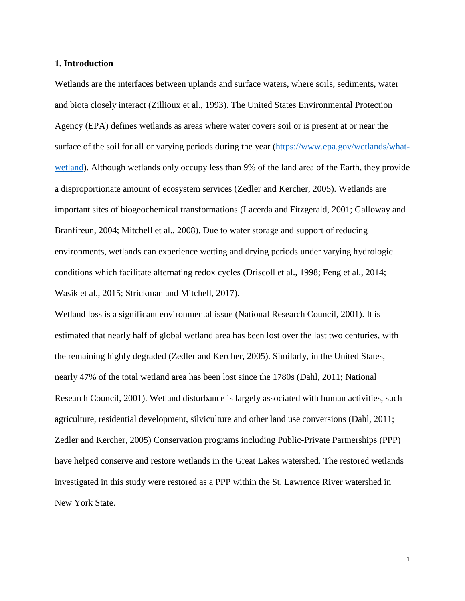### <span id="page-10-0"></span>**1. Introduction**

Wetlands are the interfaces between uplands and surface waters, where soils, sediments, water and biota closely interact (Zillioux et al., 1993). The United States Environmental Protection Agency (EPA) defines wetlands as areas where water covers soil or is present at or near the surface of the soil for all or varying periods during the year [\(https://www.epa.gov/wetlands/what](https://www.epa.gov/wetlands/what-wetland)[wetland\)](https://www.epa.gov/wetlands/what-wetland). Although wetlands only occupy less than 9% of the land area of the Earth, they provide a disproportionate amount of ecosystem services (Zedler and Kercher, 2005). Wetlands are important sites of biogeochemical transformations (Lacerda and Fitzgerald, 2001; Galloway and Branfireun, 2004; Mitchell et al., 2008). Due to water storage and support of reducing environments, wetlands can experience wetting and drying periods under varying hydrologic conditions which facilitate alternating redox cycles (Driscoll et al., 1998; Feng et al., 2014; Wasik et al., 2015; Strickman and Mitchell, 2017).

Wetland loss is a significant environmental issue (National Research Council, 2001). It is estimated that nearly half of global wetland area has been lost over the last two centuries, with the remaining highly degraded (Zedler and Kercher, 2005). Similarly, in the United States, nearly 47% of the total wetland area has been lost since the 1780s (Dahl, 2011; National Research Council, 2001). Wetland disturbance is largely associated with human activities, such agriculture, residential development, silviculture and other land use conversions (Dahl, 2011; Zedler and Kercher, 2005) Conservation programs including Public-Private Partnerships (PPP) have helped conserve and restore wetlands in the Great Lakes watershed. The restored wetlands investigated in this study were restored as a PPP within the St. Lawrence River watershed in New York State.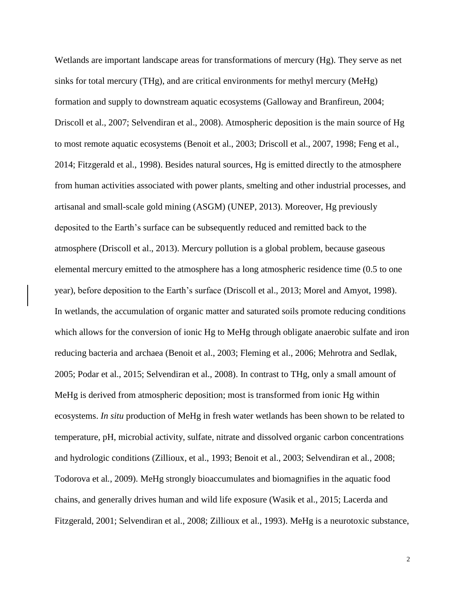Wetlands are important landscape areas for transformations of mercury (Hg). They serve as net sinks for total mercury (THg), and are critical environments for methyl mercury (MeHg) formation and supply to downstream aquatic ecosystems (Galloway and Branfireun, 2004; Driscoll et al., 2007; Selvendiran et al., 2008). Atmospheric deposition is the main source of Hg to most remote aquatic ecosystems (Benoit et al., 2003; Driscoll et al., 2007, 1998; Feng et al., 2014; Fitzgerald et al., 1998). Besides natural sources, Hg is emitted directly to the atmosphere from human activities associated with power plants, smelting and other industrial processes, and artisanal and small-scale gold mining (ASGM) (UNEP, 2013). Moreover, Hg previously deposited to the Earth's surface can be subsequently reduced and remitted back to the atmosphere (Driscoll et al., 2013). Mercury pollution is a global problem, because gaseous elemental mercury emitted to the atmosphere has a long atmospheric residence time (0.5 to one year), before deposition to the Earth's surface (Driscoll et al., 2013; Morel and Amyot, 1998). In wetlands, the accumulation of organic matter and saturated soils promote reducing conditions which allows for the conversion of ionic Hg to MeHg through obligate anaerobic sulfate and iron reducing bacteria and archaea (Benoit et al., 2003; Fleming et al., 2006; Mehrotra and Sedlak, 2005; Podar et al., 2015; Selvendiran et al., 2008). In contrast to THg, only a small amount of MeHg is derived from atmospheric deposition; most is transformed from ionic Hg within ecosystems. *In situ* production of MeHg in fresh water wetlands has been shown to be related to temperature, pH, microbial activity, sulfate, nitrate and dissolved organic carbon concentrations and hydrologic conditions (Zillioux, et al., 1993; Benoit et al., 2003; Selvendiran et al*.*, 2008; Todorova et al*.*, 2009). MeHg strongly bioaccumulates and biomagnifies in the aquatic food chains, and generally drives human and wild life exposure (Wasik et al., 2015; Lacerda and Fitzgerald, 2001; Selvendiran et al., 2008; Zillioux et al., 1993). MeHg is a neurotoxic substance,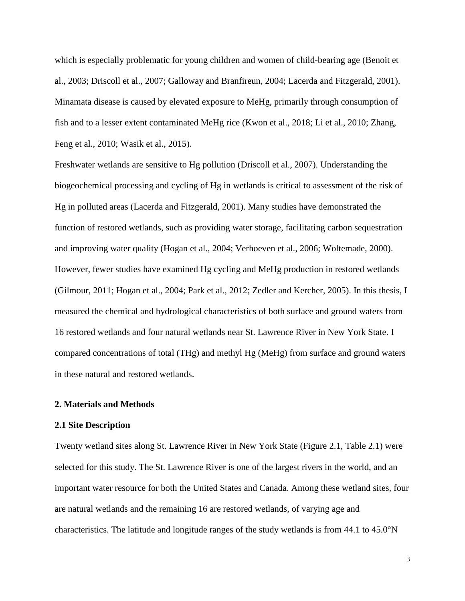which is especially problematic for young children and women of child-bearing age (Benoit et al., 2003; Driscoll et al., 2007; Galloway and Branfireun, 2004; Lacerda and Fitzgerald, 2001). Minamata disease is caused by elevated exposure to MeHg, primarily through consumption of fish and to a lesser extent contaminated MeHg rice (Kwon et al., 2018; Li et al., 2010; Zhang, Feng et al., 2010; Wasik et al., 2015).

Freshwater wetlands are sensitive to Hg pollution (Driscoll et al., 2007). Understanding the biogeochemical processing and cycling of Hg in wetlands is critical to assessment of the risk of Hg in polluted areas (Lacerda and Fitzgerald, 2001). Many studies have demonstrated the function of restored wetlands, such as providing water storage, facilitating carbon sequestration and improving water quality (Hogan et al., 2004; Verhoeven et al., 2006; Woltemade, 2000). However, fewer studies have examined Hg cycling and MeHg production in restored wetlands (Gilmour, 2011; Hogan et al., 2004; Park et al., 2012; Zedler and Kercher, 2005). In this thesis, I measured the chemical and hydrological characteristics of both surface and ground waters from 16 restored wetlands and four natural wetlands near St. Lawrence River in New York State. I compared concentrations of total (THg) and methyl Hg (MeHg) from surface and ground waters in these natural and restored wetlands.

### <span id="page-12-0"></span>**2. Materials and Methods**

### <span id="page-12-1"></span>**2.1 Site Description**

Twenty wetland sites along St. Lawrence River in New York State (Figure 2.1, Table 2.1) were selected for this study. The St. Lawrence River is one of the largest rivers in the world, and an important water resource for both the United States and Canada. Among these wetland sites, four are natural wetlands and the remaining 16 are restored wetlands, of varying age and characteristics. The latitude and longitude ranges of the study wetlands is from 44.1 to 45.0°N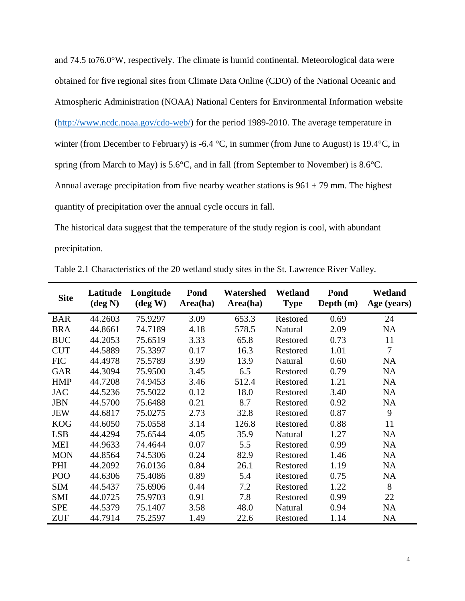and 74.5 to76.0°W, respectively. The climate is humid continental. Meteorological data were obtained for five regional sites from Climate Data Online (CDO) of the National Oceanic and Atmospheric Administration (NOAA) National Centers for Environmental Information website [\(http://www.ncdc.noaa.gov/cdo-web/\)](http://www.ncdc.noaa.gov/cdo-web/) for the period 1989-2010. The average temperature in winter (from December to February) is -6.4 °C, in summer (from June to August) is 19.4 °C, in spring (from March to May) is 5.6°C, and in fall (from September to November) is 8.6°C. Annual average precipitation from five nearby weather stations is  $961 \pm 79$  mm. The highest quantity of precipitation over the annual cycle occurs in fall.

The historical data suggest that the temperature of the study region is cool, with abundant precipitation.

| <b>Site</b>     | Latitude<br>$(\text{deg } N)$ | Longitude<br>$(\text{deg } W)$ | Pond<br>Area(ha) | Watershed<br>Area(ha) | Wetland<br><b>Type</b> | Pond<br>Depth (m) | Wetland<br>Age (years) |
|-----------------|-------------------------------|--------------------------------|------------------|-----------------------|------------------------|-------------------|------------------------|
| <b>BAR</b>      | 44.2603                       | 75.9297                        | 3.09             | 653.3                 | Restored               | 0.69              | 24                     |
| <b>BRA</b>      | 44.8661                       | 74.7189                        | 4.18             | 578.5                 | Natural                | 2.09              | <b>NA</b>              |
| <b>BUC</b>      | 44.2053                       | 75.6519                        | 3.33             | 65.8                  | Restored               | 0.73              | 11                     |
| <b>CUT</b>      | 44.5889                       | 75.3397                        | 0.17             | 16.3                  | Restored               | 1.01              | 7                      |
| <b>FIC</b>      | 44.4978                       | 75.5789                        | 3.99             | 13.9                  | Natural                | 0.60              | <b>NA</b>              |
| <b>GAR</b>      | 44.3094                       | 75.9500                        | 3.45             | 6.5                   | Restored               | 0.79              | <b>NA</b>              |
| <b>HMP</b>      | 44.7208                       | 74.9453                        | 3.46             | 512.4                 | Restored               | 1.21              | <b>NA</b>              |
| <b>JAC</b>      | 44.5236                       | 75.5022                        | 0.12             | 18.0                  | Restored               | 3.40              | <b>NA</b>              |
| <b>JBN</b>      | 44.5700                       | 75.6488                        | 0.21             | 8.7                   | Restored               | 0.92              | <b>NA</b>              |
| <b>JEW</b>      | 44.6817                       | 75.0275                        | 2.73             | 32.8                  | Restored               | 0.87              | 9                      |
| <b>KOG</b>      | 44.6050                       | 75.0558                        | 3.14             | 126.8                 | Restored               | 0.88              | 11                     |
| <b>LSB</b>      | 44.4294                       | 75.6544                        | 4.05             | 35.9                  | Natural                | 1.27              | <b>NA</b>              |
| <b>MEI</b>      | 44.9633                       | 74.4644                        | 0.07             | 5.5                   | Restored               | 0.99              | <b>NA</b>              |
| <b>MON</b>      | 44.8564                       | 74.5306                        | 0.24             | 82.9                  | Restored               | 1.46              | <b>NA</b>              |
| PHI             | 44.2092                       | 76.0136                        | 0.84             | 26.1                  | Restored               | 1.19              | <b>NA</b>              |
| PO <sub>O</sub> | 44.6306                       | 75.4086                        | 0.89             | 5.4                   | Restored               | 0.75              | <b>NA</b>              |
| <b>SIM</b>      | 44.5437                       | 75.6906                        | 0.44             | 7.2                   | Restored               | 1.22              | 8                      |
| <b>SMI</b>      | 44.0725                       | 75.9703                        | 0.91             | 7.8                   | Restored               | 0.99              | 22                     |
| <b>SPE</b>      | 44.5379                       | 75.1407                        | 3.58             | 48.0                  | Natural                | 0.94              | <b>NA</b>              |
| <b>ZUF</b>      | 44.7914                       | 75.2597                        | 1.49             | 22.6                  | Restored               | 1.14              | <b>NA</b>              |

<span id="page-13-0"></span>Table 2.1 Characteristics of the 20 wetland study sites in the St. Lawrence River Valley.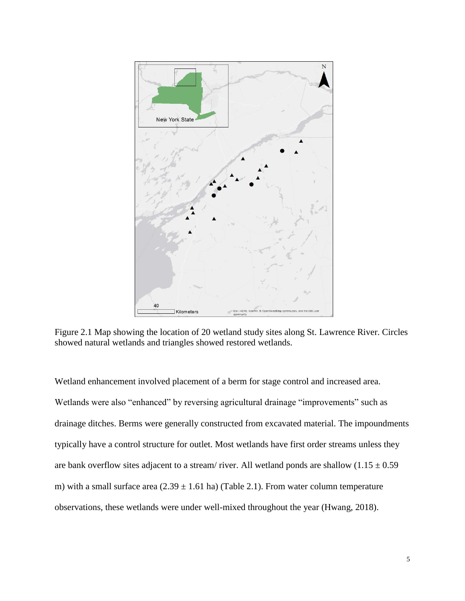

<span id="page-14-0"></span>Figure 2.1 Map showing the location of 20 wetland study sites along St. Lawrence River. Circles showed natural wetlands and triangles showed restored wetlands.

Wetland enhancement involved placement of a berm for stage control and increased area. Wetlands were also "enhanced" by reversing agricultural drainage "improvements" such as drainage ditches. Berms were generally constructed from excavated material. The impoundments typically have a control structure for outlet. Most wetlands have first order streams unless they are bank overflow sites adjacent to a stream/ river. All wetland ponds are shallow  $(1.15 \pm 0.59$ m) with a small surface area  $(2.39 \pm 1.61 \text{ ha})$  (Table 2.1). From water column temperature observations, these wetlands were under well-mixed throughout the year (Hwang, 2018).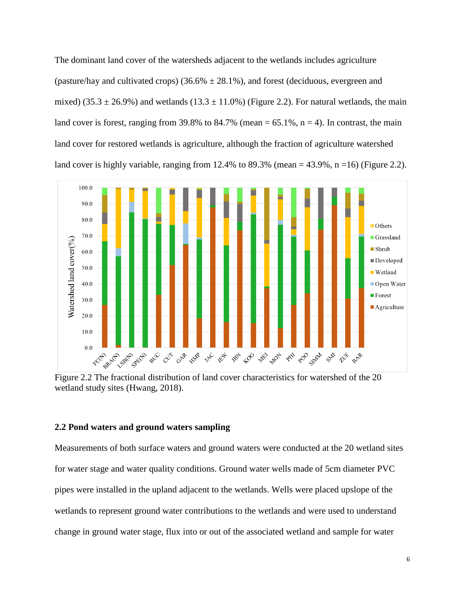The dominant land cover of the watersheds adjacent to the wetlands includes agriculture (pasture/hay and cultivated crops)  $(36.6\% \pm 28.1\%)$ , and forest (deciduous, evergreen and mixed) (35.3  $\pm$  26.9%) and wetlands (13.3  $\pm$  11.0%) (Figure 2.2). For natural wetlands, the main land cover is forest, ranging from 39.8% to 84.7% (mean  $= 65.1\%$ , n  $= 4$ ). In contrast, the main land cover for restored wetlands is agriculture, although the fraction of agriculture watershed land cover is highly variable, ranging from 12.4% to 89.3% (mean =  $43.9\%$ , n = 16) (Figure 2.2).



<span id="page-15-1"></span>Figure 2.2 The fractional distribution of land cover characteristics for watershed of the 20 wetland study sites (Hwang, 2018).

### <span id="page-15-0"></span>**2.2 Pond waters and ground waters sampling**

Measurements of both surface waters and ground waters were conducted at the 20 wetland sites for water stage and water quality conditions. Ground water wells made of 5cm diameter PVC pipes were installed in the upland adjacent to the wetlands. Wells were placed upslope of the wetlands to represent ground water contributions to the wetlands and were used to understand change in ground water stage, flux into or out of the associated wetland and sample for water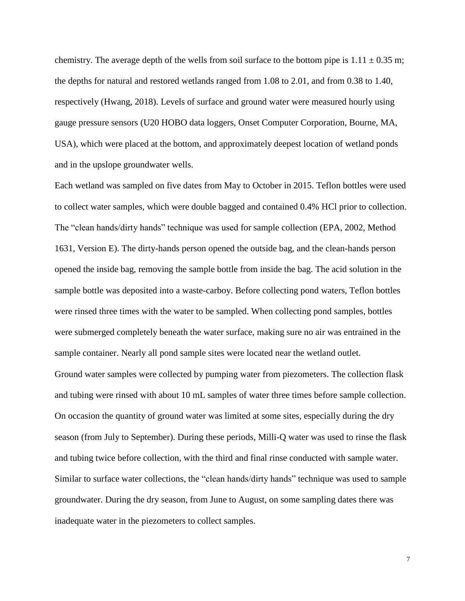chemistry. The average depth of the wells from soil surface to the bottom pipe is  $1.11 \pm 0.35$  m; the depths for natural and restored wetlands ranged from 1.08 to 2.01, and from 0.38 to 1.40, respectively (Hwang, 2018). Levels of surface and ground water were measured hourly using gauge pressure sensors (U20 HOBO data loggers, Onset Computer Corporation, Bourne, MA, USA), which were placed at the bottom, and approximately deepest location of wetland ponds and in the upslope groundwater wells.

Each wetland was sampled on five dates from May to October in 2015. Teflon bottles were used to collect water samples, which were double bagged and contained 0.4% HCl prior to collection. The "clean hands/dirty hands" technique was used for sample collection (EPA, 2002, Method 1631, Version E). The dirty-hands person opened the outside bag, and the clean-hands person opened the inside bag, removing the sample bottle from inside the bag. The acid solution in the sample bottle was deposited into a waste-carboy. Before collecting pond waters, Teflon bottles were rinsed three times with the water to be sampled. When collecting pond samples, bottles were submerged completely beneath the water surface, making sure no air was entrained in the sample container. Nearly all pond sample sites were located near the wetland outlet. Ground water samples were collected by pumping water from piezometers. The collection flask and tubing were rinsed with about 10 mL samples of water three times before sample collection. On occasion the quantity of ground water was limited at some sites, especially during the dry season (from July to September). During these periods, Milli-Q water was used to rinse the flask and tubing twice before collection, with the third and final rinse conducted with sample water. Similar to surface water collections, the "clean hands/dirty hands" technique was used to sample groundwater. During the dry season, from June to August, on some sampling dates there was inadequate water in the piezometers to collect samples.

7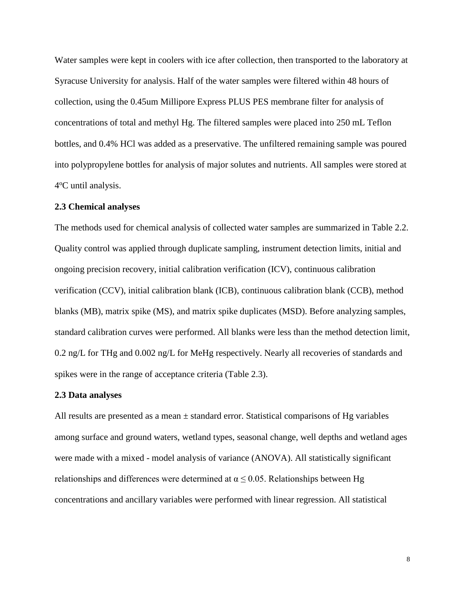Water samples were kept in coolers with ice after collection, then transported to the laboratory at Syracuse University for analysis. Half of the water samples were filtered within 48 hours of collection, using the 0.45um Millipore Express PLUS PES membrane filter for analysis of concentrations of total and methyl Hg. The filtered samples were placed into 250 mL Teflon bottles, and 0.4% HCl was added as a preservative. The unfiltered remaining sample was poured into polypropylene bottles for analysis of major solutes and nutrients. All samples were stored at 4°C until analysis.

### <span id="page-17-0"></span>**2.3 Chemical analyses**

The methods used for chemical analysis of collected water samples are summarized in Table 2.2. Quality control was applied through duplicate sampling, instrument detection limits, initial and ongoing precision recovery, initial calibration verification (ICV), continuous calibration verification (CCV), initial calibration blank (ICB), continuous calibration blank (CCB), method blanks (MB), matrix spike (MS), and matrix spike duplicates (MSD). Before analyzing samples, standard calibration curves were performed. All blanks were less than the method detection limit, 0.2 ng/L for THg and 0.002 ng/L for MeHg respectively. Nearly all recoveries of standards and spikes were in the range of acceptance criteria (Table 2.3).

### <span id="page-17-1"></span>**2.3 Data analyses**

All results are presented as a mean  $\pm$  standard error. Statistical comparisons of Hg variables among surface and ground waters, wetland types, seasonal change, well depths and wetland ages were made with a mixed - model analysis of variance (ANOVA). All statistically significant relationships and differences were determined at  $\alpha \leq 0.05$ . Relationships between Hg concentrations and ancillary variables were performed with linear regression. All statistical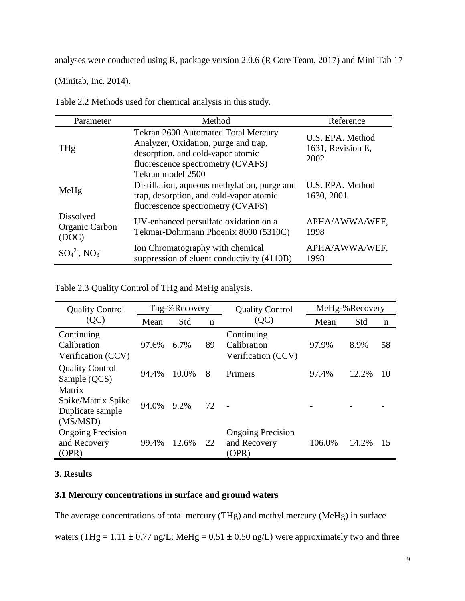analyses were conducted using R, package version 2.0.6 (R Core Team, 2017) and Mini Tab 17

(Minitab, Inc. 2014).

<span id="page-18-2"></span>

| Table 2.2 Methods used for chemical analysis in this study. |  |  |  |
|-------------------------------------------------------------|--|--|--|
|-------------------------------------------------------------|--|--|--|

| Parameter                                   | Method                                                                                                                                                | Reference                                     |
|---------------------------------------------|-------------------------------------------------------------------------------------------------------------------------------------------------------|-----------------------------------------------|
| THg                                         | Tekran 2600 Automated Total Mercury<br>Analyzer, Oxidation, purge and trap,<br>desorption, and cold-vapor atomic<br>fluorescence spectrometry (CVAFS) | U.S. EPA. Method<br>1631, Revision E,<br>2002 |
| MeHg                                        | Tekran model 2500<br>Distillation, aqueous methylation, purge and<br>trap, desorption, and cold-vapor atomic<br>fluorescence spectrometry (CVAFS)     | U.S. EPA. Method<br>1630, 2001                |
| <b>Dissolved</b><br>Organic Carbon<br>(DOC) | UV-enhanced persulfate oxidation on a<br>Tekmar-Dohrmann Phoenix 8000 (5310C)                                                                         | APHA/AWWA/WEF,<br>1998                        |
| $SO_4{}^{2}$ , $NO_3{}^{-}$                 | Ion Chromatography with chemical<br>suppression of eluent conductivity (4110B)                                                                        | APHA/AWWA/WEF,<br>1998                        |

<span id="page-18-3"></span>Table 2.3 Quality Control of THg and MeHg analysis.

| <b>Quality Control</b>                                       |       | Thg-%Recovery<br><b>Quality Control</b> |             | MeHg-%Recovery                                    |        |       |    |
|--------------------------------------------------------------|-------|-----------------------------------------|-------------|---------------------------------------------------|--------|-------|----|
| (QC)                                                         | Mean  | Std                                     | $\mathbf n$ | (QC)                                              | Mean   | Std   | n  |
| Continuing<br>Calibration<br>Verification (CCV)              | 97.6% | 6.7%                                    | 89          | Continuing<br>Calibration<br>Verification (CCV)   | 97.9%  | 8.9%  | 58 |
| <b>Quality Control</b><br>Sample (QCS)                       | 94.4% | 10.0%                                   | 8           | Primers                                           | 97.4%  | 12.2% | 10 |
| Matrix<br>Spike/Matrix Spike<br>Duplicate sample<br>(MS/MSD) | 94.0% | $9.2\%$                                 | 72          |                                                   |        |       |    |
| <b>Ongoing Precision</b><br>and Recovery<br>(OPR)            | 99.4% | 12.6%                                   | 22          | <b>Ongoing Precision</b><br>and Recovery<br>(OPR) | 106.0% | 14.2% | 15 |

### <span id="page-18-0"></span>**3. Results**

### <span id="page-18-1"></span>**3.1 Mercury concentrations in surface and ground waters**

The average concentrations of total mercury (THg) and methyl mercury (MeHg) in surface

waters (THg =  $1.11 \pm 0.77$  ng/L; MeHg =  $0.51 \pm 0.50$  ng/L) were approximately two and three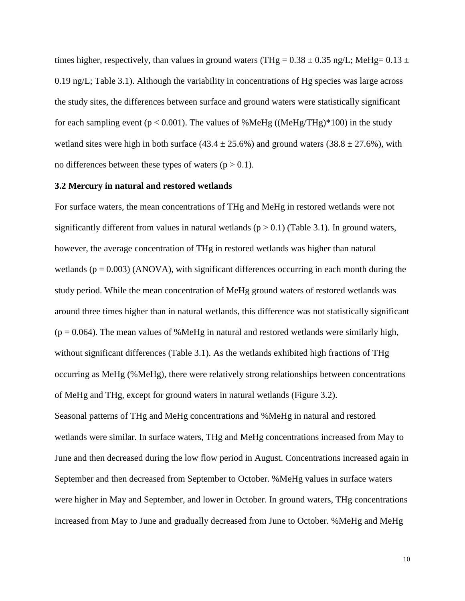times higher, respectively, than values in ground waters (THg =  $0.38 \pm 0.35$  ng/L; MeHg=  $0.13 \pm 0.35$ 0.19 ng/L; Table 3.1). Although the variability in concentrations of Hg species was large across the study sites, the differences between surface and ground waters were statistically significant for each sampling event ( $p < 0.001$ ). The values of %MeHg ((MeHg/THg)\*100) in the study wetland sites were high in both surface  $(43.4 \pm 25.6\%)$  and ground waters  $(38.8 \pm 27.6\%)$ , with no differences between these types of waters  $(p > 0.1)$ .

#### <span id="page-19-0"></span>**3.2 Mercury in natural and restored wetlands**

For surface waters, the mean concentrations of THg and MeHg in restored wetlands were not significantly different from values in natural wetlands  $(p > 0.1)$  (Table 3.1). In ground waters, however, the average concentration of THg in restored wetlands was higher than natural wetlands  $(p = 0.003)$  (ANOVA), with significant differences occurring in each month during the study period. While the mean concentration of MeHg ground waters of restored wetlands was around three times higher than in natural wetlands, this difference was not statistically significant  $(p = 0.064)$ . The mean values of %MeHg in natural and restored wetlands were similarly high, without significant differences (Table 3.1). As the wetlands exhibited high fractions of THg occurring as MeHg (%MeHg), there were relatively strong relationships between concentrations of MeHg and THg, except for ground waters in natural wetlands (Figure 3.2). Seasonal patterns of THg and MeHg concentrations and %MeHg in natural and restored wetlands were similar. In surface waters, THg and MeHg concentrations increased from May to June and then decreased during the low flow period in August. Concentrations increased again in September and then decreased from September to October. %MeHg values in surface waters were higher in May and September, and lower in October. In ground waters, THg concentrations increased from May to June and gradually decreased from June to October. %MeHg and MeHg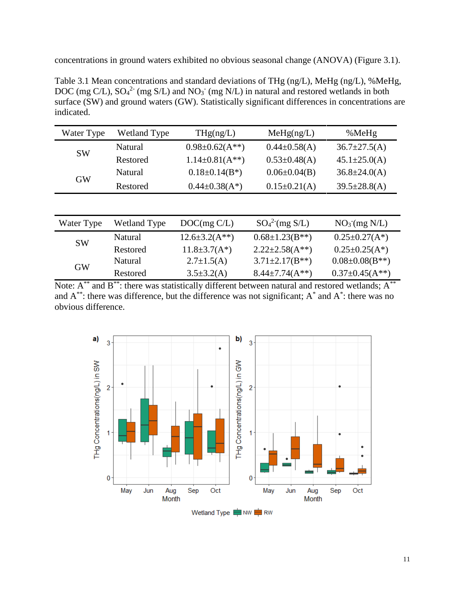concentrations in ground waters exhibited no obvious seasonal change (ANOVA) (Figure 3.1).

<span id="page-20-0"></span>Table 3.1 Mean concentrations and standard deviations of THg (ng/L), MeHg (ng/L), %MeHg, DOC (mg C/L),  $SO_4^2$ <sup>-</sup> (mg S/L) and NO<sub>3</sub><sup>-</sup> (mg N/L) in natural and restored wetlands in both surface (SW) and ground waters (GW). Statistically significant differences in concentrations are indicated.

| Water Type | <b>Wetland Type</b> | THg(ng/L)                         | Meflg(ng/L)         | %MeHg              |
|------------|---------------------|-----------------------------------|---------------------|--------------------|
| <b>SW</b>  | Natural             | $0.98 \pm 0.62(A^{**})$           | $0.44 \pm 0.58(A)$  | $36.7 \pm 27.5(A)$ |
|            | Restored            | $1.14 \pm 0.81(A^{**})$           | $0.53 \pm 0.48(A)$  | $45.1 \pm 25.0(A)$ |
| <b>GW</b>  | <b>Natural</b>      | $0.18 \pm 0.14$ (B <sup>*</sup> ) | $0.06 \pm 0.04$ (B) | $36.8 \pm 24.0(A)$ |
|            | Restored            | $0.44 \pm 0.38(A^*)$              | $0.15 \pm 0.21(A)$  | $39.5 \pm 28.8(A)$ |

| Water Type | <b>Wetland Type</b> | DOC(mg C/L)            | $SO_4^2$ (mg S/L)       | $NO3$ (mg N/L)          |
|------------|---------------------|------------------------|-------------------------|-------------------------|
| <b>SW</b>  | Natural             | $12.6 \pm 3.2(A^{**})$ | $0.68 \pm 1.23$ (B**)   | $0.25 \pm 0.27(A^*)$    |
|            | Restored            | $11.8 \pm 3.7(A^*)$    | $2.22 \pm 2.58(A^{**})$ | $0.25 \pm 0.25 (A^*)$   |
|            | <b>Natural</b>      | $2.7 \pm 1.5(A)$       | $3.71 \pm 2.17$ (B**)   | $0.08 \pm 0.08$ (B**)   |
| <b>GW</b>  | Restored            | $3.5 \pm 3.2(A)$       | $8.44 \pm 7.74(A^{**})$ | $0.37 \pm 0.45(A^{**})$ |

Note:  $A^{**}$  and  $B^{**}$ : there was statistically different between natural and restored wetlands;  $A^{**}$ and  $A^{**}$ : there was difference, but the difference was not significant;  $A^*$  and  $A^*$ : there was no obvious difference.



Wetland Type = NW = RW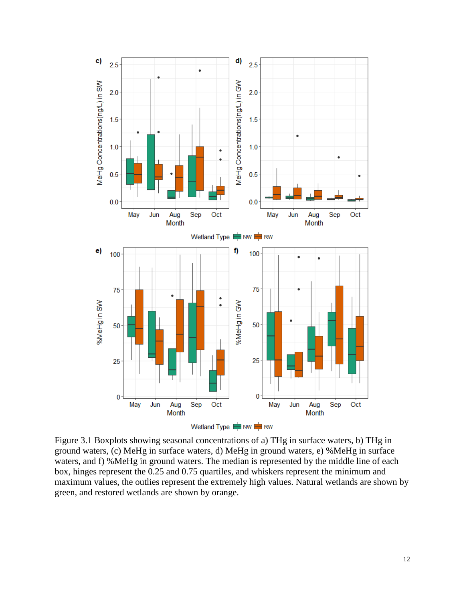

<span id="page-21-0"></span>Figure 3.1 Boxplots showing seasonal concentrations of a) THg in surface waters, b) THg in ground waters, (c) MeHg in surface waters, d) MeHg in ground waters, e) %MeHg in surface waters, and f) %MeHg in ground waters. The median is represented by the middle line of each box, hinges represent the 0.25 and 0.75 quartiles, and whiskers represent the minimum and maximum values, the outlies represent the extremely high values. Natural wetlands are shown by green, and restored wetlands are shown by orange.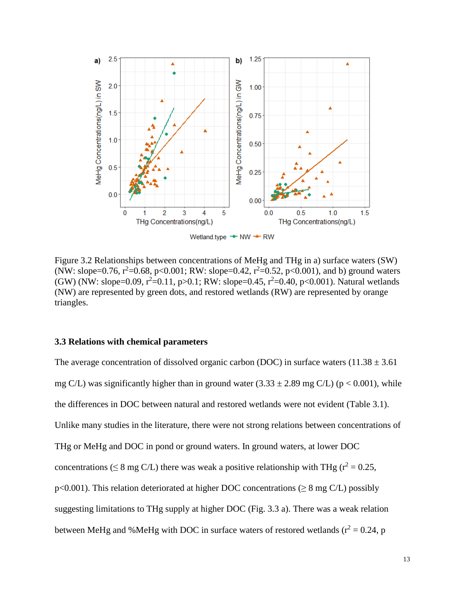

Wetland.type - NW - RW

<span id="page-22-1"></span>Figure 3.2 Relationships between concentrations of MeHg and THg in a) surface waters (SW) (NW: slope=0.76,  $r^2$ =0.68, p<0.001; RW: slope=0.42,  $r^2$ =0.52, p<0.001), and b) ground waters (GW) (NW: slope=0.09,  $r^2$ =0.11, p>0.1; RW: slope=0.45,  $r^2$ =0.40, p<0.001). Natural wetlands (NW) are represented by green dots, and restored wetlands (RW) are represented by orange triangles.

### <span id="page-22-0"></span>**3.3 Relations with chemical parameters**

The average concentration of dissolved organic carbon (DOC) in surface waters  $(11.38 \pm 3.61)$ mg C/L) was significantly higher than in ground water  $(3.33 \pm 2.89 \text{ mg C/L})$  (p < 0.001), while the differences in DOC between natural and restored wetlands were not evident (Table 3.1). Unlike many studies in the literature, there were not strong relations between concentrations of THg or MeHg and DOC in pond or ground waters. In ground waters, at lower DOC concentrations ( $\leq 8$  mg C/L) there was weak a positive relationship with THg ( $r^2 = 0.25$ , p<0.001). This relation deteriorated at higher DOC concentrations ( $\geq 8$  mg C/L) possibly suggesting limitations to THg supply at higher DOC (Fig. 3.3 a). There was a weak relation between MeHg and %MeHg with DOC in surface waters of restored wetlands ( $r^2 = 0.24$ , p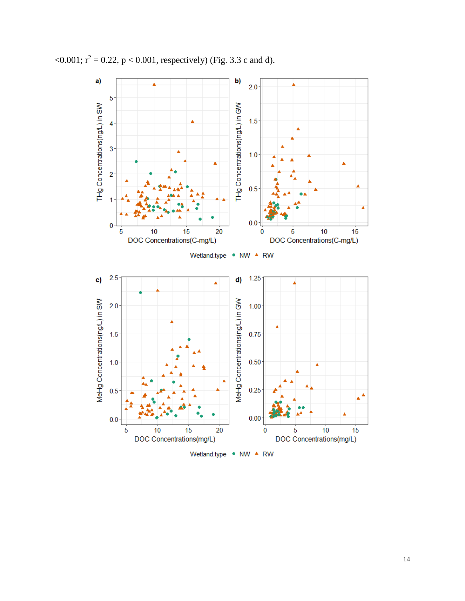

 $\leq 0.001$ ;  $r^2 = 0.22$ ,  $p \leq 0.001$ , respectively) (Fig. 3.3 c and d).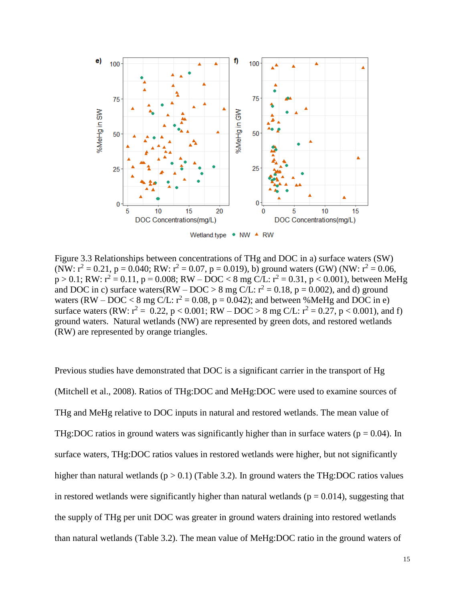

<span id="page-24-0"></span>Figure 3.3 Relationships between concentrations of THg and DOC in a) surface waters (SW) (NW:  $r^2 = 0.21$ , p = 0.040; RW:  $r^2 = 0.07$ , p = 0.019), b) ground waters (GW) (NW:  $r^2 = 0.06$ ,  $p > 0.1$ ; RW:  $r^2 = 0.11$ ,  $p = 0.008$ ; RW – DOC < 8 mg C/L:  $r^2 = 0.31$ ,  $p < 0.001$ ), between MeHg and DOC in c) surface waters(RW – DOC > 8 mg C/L:  $r^2 = 0.18$ , p = 0.002), and d) ground waters (RW – DOC < 8 mg C/L:  $r^2 = 0.08$ , p = 0.042); and between %MeHg and DOC in e) surface waters (RW:  $r^2 = 0.22$ ,  $p < 0.001$ ; RW – DOC > 8 mg C/L:  $r^2 = 0.27$ ,  $p < 0.001$ ), and f) ground waters. Natural wetlands (NW) are represented by green dots, and restored wetlands (RW) are represented by orange triangles.

Previous studies have demonstrated that DOC is a significant carrier in the transport of Hg (Mitchell et al., 2008). Ratios of THg:DOC and MeHg:DOC were used to examine sources of THg and MeHg relative to DOC inputs in natural and restored wetlands. The mean value of THg:DOC ratios in ground waters was significantly higher than in surface waters ( $p = 0.04$ ). In surface waters, THg:DOC ratios values in restored wetlands were higher, but not significantly higher than natural wetlands ( $p > 0.1$ ) (Table 3.2). In ground waters the THg:DOC ratios values in restored wetlands were significantly higher than natural wetlands ( $p = 0.014$ ), suggesting that the supply of THg per unit DOC was greater in ground waters draining into restored wetlands than natural wetlands (Table 3.2). The mean value of MeHg:DOC ratio in the ground waters of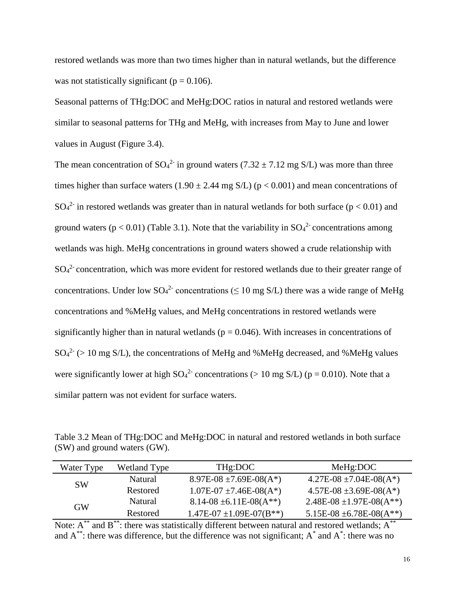restored wetlands was more than two times higher than in natural wetlands, but the difference was not statistically significant ( $p = 0.106$ ).

Seasonal patterns of THg:DOC and MeHg:DOC ratios in natural and restored wetlands were similar to seasonal patterns for THg and MeHg, with increases from May to June and lower values in August (Figure 3.4).

The mean concentration of  $SO_4^2$  in ground waters (7.32  $\pm$  7.12 mg S/L) was more than three times higher than surface waters (1.90  $\pm$  2.44 mg S/L) (p < 0.001) and mean concentrations of  $SO_4^2$  in restored wetlands was greater than in natural wetlands for both surface ( $p < 0.01$ ) and ground waters ( $p < 0.01$ ) (Table 3.1). Note that the variability in  $SO_4^2$  concentrations among wetlands was high. MeHg concentrations in ground waters showed a crude relationship with  $SO<sub>4</sub><sup>2</sup>$  concentration, which was more evident for restored wetlands due to their greater range of concentrations. Under low  $SO_4^2$  concentrations ( $\leq 10$  mg S/L) there was a wide range of MeHg concentrations and %MeHg values, and MeHg concentrations in restored wetlands were significantly higher than in natural wetlands ( $p = 0.046$ ). With increases in concentrations of  $SO_4^2$  (> 10 mg S/L), the concentrations of MeHg and %MeHg decreased, and %MeHg values were significantly lower at high  $SO_4^2$  concentrations (> 10 mg S/L) (p = 0.010). Note that a similar pattern was not evident for surface waters.

<span id="page-25-0"></span>Table 3.2 Mean of THg:DOC and MeHg:DOC in natural and restored wetlands in both surface (SW) and ground waters (GW).

| Water Type | Wetland Type   | THg:DOC                         | MeHg:DOC                        |  |
|------------|----------------|---------------------------------|---------------------------------|--|
| <b>SW</b>  | Natural        | $8.97E-08 \pm 7.69E-08(A^*)$    | $4.27E-08 \pm 7.04E-08(A^*)$    |  |
|            | Restored       | $1.07E-07 \pm 7.46E-08(A^*)$    | $4.57E-08 \pm 3.69E-08(A^*)$    |  |
| <b>GW</b>  | <b>Natural</b> | $8.14-08 \pm 6.11E-08(A^{**})$  | $2.48E-08 \pm 1.97E-08(A^{**})$ |  |
|            | Restored       | $1.47E-07 \pm 1.09E-07(B^{**})$ | 5.15E-08 $\pm$ 6.78E-08(A**)    |  |

Note:  $A^{**}$  and  $B^{**}$ : there was statistically different between natural and restored wetlands;  $A^{**}$ and  $A^{**}$ : there was difference, but the difference was not significant;  $A^*$  and  $A^*$ : there was no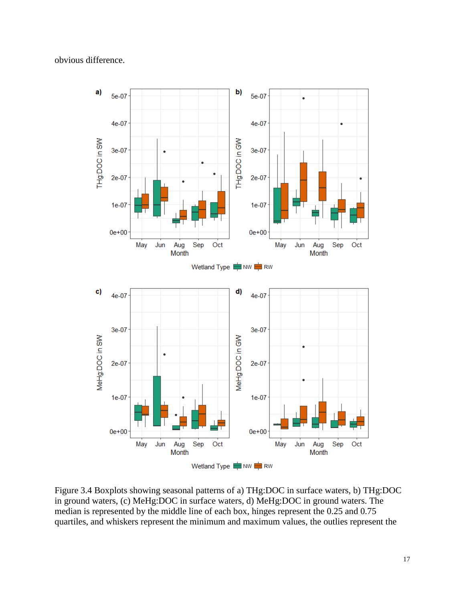### obvious difference.



<span id="page-26-0"></span>Figure 3.4 Boxplots showing seasonal patterns of a) THg:DOC in surface waters, b) THg:DOC in ground waters, (c) MeHg:DOC in surface waters, d) MeHg:DOC in ground waters. The median is represented by the middle line of each box, hinges represent the 0.25 and 0.75 quartiles, and whiskers represent the minimum and maximum values, the outlies represent the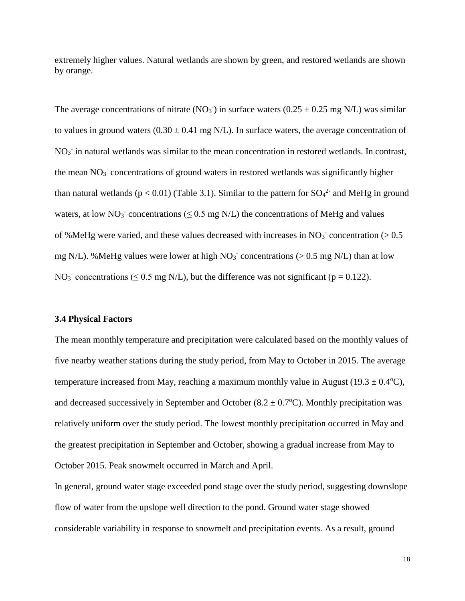extremely higher values. Natural wetlands are shown by green, and restored wetlands are shown by orange.

The average concentrations of nitrate (NO<sub>3</sub><sup>-</sup>) in surface waters (0.25  $\pm$  0.25 mg N/L) was similar to values in ground waters  $(0.30 \pm 0.41 \text{ mg N/L})$ . In surface waters, the average concentration of NO<sub>3</sub> in natural wetlands was similar to the mean concentration in restored wetlands. In contrast, the mean  $NO<sub>3</sub>$  concentrations of ground waters in restored wetlands was significantly higher than natural wetlands ( $p < 0.01$ ) (Table 3.1). Similar to the pattern for  $SO_4^2$  and MeHg in ground waters, at low  $NO_3^-$  concentrations ( $\leq 0.5$  mg N/L) the concentrations of MeHg and values of %MeHg were varied, and these values decreased with increases in  $NO<sub>3</sub>$ <sup>-</sup> concentration ( $> 0.5$ ) mg N/L). %MeHg values were lower at high  $NO<sub>3</sub>$  concentrations (> 0.5 mg N/L) than at low NO<sub>3</sub><sup>-</sup> concentrations ( $\leq$  0.5 mg N/L), but the difference was not significant ( $p = 0.122$ ).

#### <span id="page-27-0"></span>**3.4 Physical Factors**

The mean monthly temperature and precipitation were calculated based on the monthly values of five nearby weather stations during the study period, from May to October in 2015. The average temperature increased from May, reaching a maximum monthly value in August (19.3  $\pm$  0.4 $\degree$ C), and decreased successively in September and October  $(8.2 \pm 0.7^{\circ}C)$ . Monthly precipitation was relatively uniform over the study period. The lowest monthly precipitation occurred in May and the greatest precipitation in September and October, showing a gradual increase from May to October 2015. Peak snowmelt occurred in March and April.

In general, ground water stage exceeded pond stage over the study period, suggesting downslope flow of water from the upslope well direction to the pond. Ground water stage showed considerable variability in response to snowmelt and precipitation events. As a result, ground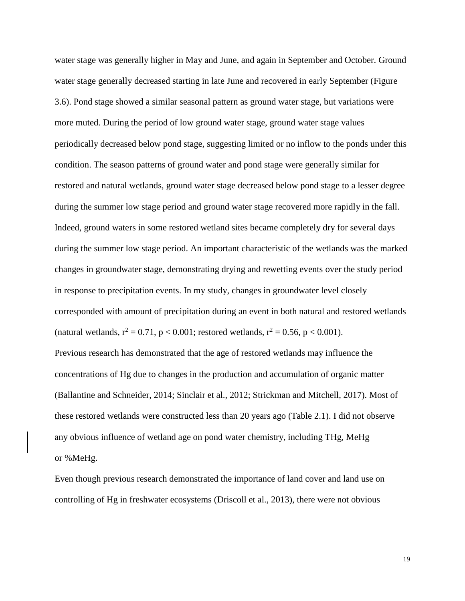water stage was generally higher in May and June, and again in September and October. Ground water stage generally decreased starting in late June and recovered in early September (Figure 3.6). Pond stage showed a similar seasonal pattern as ground water stage, but variations were more muted. During the period of low ground water stage, ground water stage values periodically decreased below pond stage, suggesting limited or no inflow to the ponds under this condition. The season patterns of ground water and pond stage were generally similar for restored and natural wetlands, ground water stage decreased below pond stage to a lesser degree during the summer low stage period and ground water stage recovered more rapidly in the fall. Indeed, ground waters in some restored wetland sites became completely dry for several days during the summer low stage period. An important characteristic of the wetlands was the marked changes in groundwater stage, demonstrating drying and rewetting events over the study period in response to precipitation events. In my study, changes in groundwater level closely corresponded with amount of precipitation during an event in both natural and restored wetlands (natural wetlands,  $r^2 = 0.71$ ,  $p < 0.001$ ; restored wetlands,  $r^2 = 0.56$ ,  $p < 0.001$ ).

Previous research has demonstrated that the age of restored wetlands may influence the concentrations of Hg due to changes in the production and accumulation of organic matter (Ballantine and Schneider, 2014; Sinclair et al., 2012; Strickman and Mitchell, 2017). Most of these restored wetlands were constructed less than 20 years ago (Table 2.1). I did not observe any obvious influence of wetland age on pond water chemistry, including THg, MeHg or %MeHg.

Even though previous research demonstrated the importance of land cover and land use on controlling of Hg in freshwater ecosystems (Driscoll et al., 2013), there were not obvious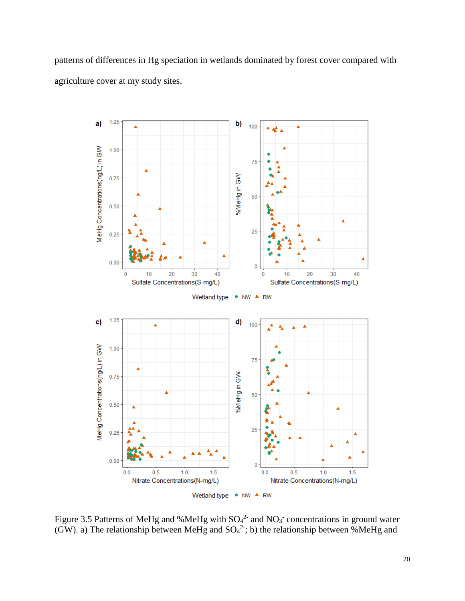patterns of differences in Hg speciation in wetlands dominated by forest cover compared with agriculture cover at my study sites.



<span id="page-29-0"></span>Figure 3.5 Patterns of MeHg and %MeHg with  $SO<sub>4</sub><sup>2</sup>$  and NO<sub>3</sub> concentrations in ground water (GW). a) The relationship between MeHg and  $SO_4^2$ ; b) the relationship between %MeHg and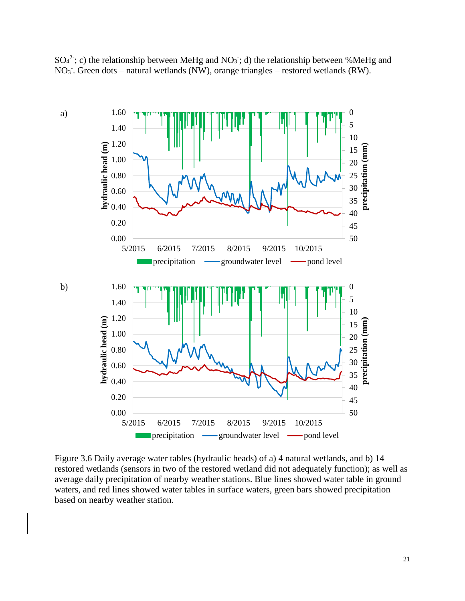$SO_4^2$ ; c) the relationship between MeHg and NO<sub>3</sub>; d) the relationship between %MeHg and NO<sub>3</sub>. Green dots – natural wetlands (NW), orange triangles – restored wetlands (RW).



<span id="page-30-1"></span><span id="page-30-0"></span>Figure 3.6 Daily average water tables (hydraulic heads) of a) 4 natural wetlands, and b) 14 restored wetlands (sensors in two of the restored wetland did not adequately function); as well as average daily precipitation of nearby weather stations. Blue lines showed water table in ground waters, and red lines showed water tables in surface waters, green bars showed precipitation based on nearby weather station.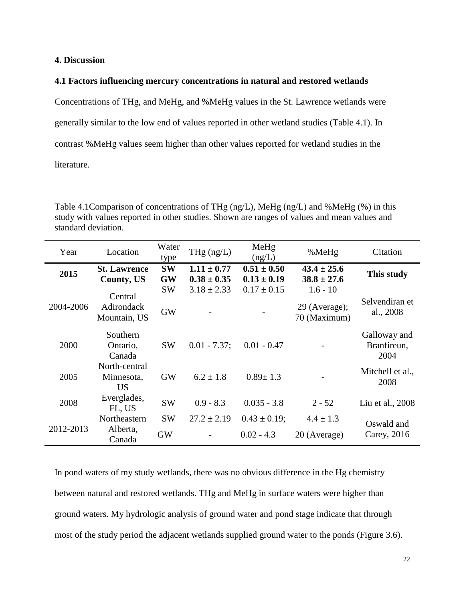### **4. Discussion**

### <span id="page-31-0"></span>**4.1 Factors influencing mercury concentrations in natural and restored wetlands**

Concentrations of THg, and MeHg, and %MeHg values in the St. Lawrence wetlands were generally similar to the low end of values reported in other wetland studies (Table 4.1). In contrast %MeHg values seem higher than other values reported for wetland studies in the

literature.

<span id="page-31-1"></span>Table 4.1Comparison of concentrations of THg (ng/L), MeHg (ng/L) and %MeHg (%) in this study with values reported in other studies. Shown are ranges of values and mean values and standard deviation.

| Year      | Location                                 | Water<br>type          | THg $(ng/L)$                       | MeHg<br>(ng/L)                     | %MeHg                              | Citation                            |
|-----------|------------------------------------------|------------------------|------------------------------------|------------------------------------|------------------------------------|-------------------------------------|
| 2015      | <b>St. Lawrence</b><br><b>County, US</b> | <b>SW</b><br><b>GW</b> | $1.11 \pm 0.77$<br>$0.38 \pm 0.35$ | $0.51 \pm 0.50$<br>$0.13 \pm 0.19$ | $43.4 \pm 25.6$<br>$38.8 \pm 27.6$ | This study                          |
| 2004-2006 | Central                                  | <b>SW</b>              | $3.18 \pm 2.33$                    | $0.17 \pm 0.15$                    | $1.6 - 10$                         | Selvendiran et                      |
|           | <b>Adirondack</b><br>Mountain, US        | <b>GW</b>              |                                    |                                    | 29 (Average);<br>70 (Maximum)      | al., 2008                           |
| 2000      | Southern<br>Ontario,<br>Canada           | <b>SW</b>              | $0.01 - 7.37$ ;                    | $0.01 - 0.47$                      |                                    | Galloway and<br>Branfireun,<br>2004 |
| 2005      | North-central<br>Minnesota,<br><b>US</b> | <b>GW</b>              | $6.2 \pm 1.8$                      | $0.89 \pm 1.3$                     |                                    | Mitchell et al.,<br>2008            |
| 2008      | Everglades,<br>FL, US                    | <b>SW</b>              | $0.9 - 8.3$                        | $0.035 - 3.8$                      | $2 - 52$                           | Liu et al., 2008                    |
| 2012-2013 | Northeastern                             | <b>SW</b>              | $27.2 \pm 2.19$                    | $0.43 \pm 0.19$ ;                  | $4.4 \pm 1.3$                      | Oswald and                          |
|           | Alberta,<br>Canada                       | <b>GW</b>              |                                    | $0.02 - 4.3$                       | 20 (Average)                       | Carey, 2016                         |

In pond waters of my study wetlands, there was no obvious difference in the Hg chemistry between natural and restored wetlands. THg and MeHg in surface waters were higher than ground waters. My hydrologic analysis of ground water and pond stage indicate that through most of the study period the adjacent wetlands supplied ground water to the ponds (Figure 3.6).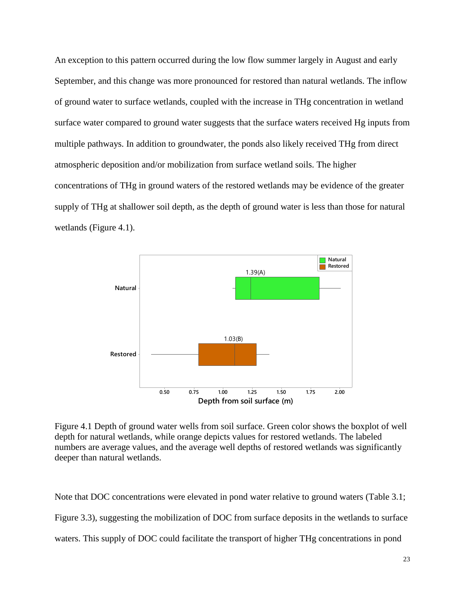An exception to this pattern occurred during the low flow summer largely in August and early September, and this change was more pronounced for restored than natural wetlands. The inflow of ground water to surface wetlands, coupled with the increase in THg concentration in wetland surface water compared to ground water suggests that the surface waters received Hg inputs from multiple pathways. In addition to groundwater, the ponds also likely received THg from direct atmospheric deposition and/or mobilization from surface wetland soils. The higher concentrations of THg in ground waters of the restored wetlands may be evidence of the greater supply of THg at shallower soil depth, as the depth of ground water is less than those for natural wetlands (Figure 4.1).

![](_page_32_Figure_1.jpeg)

<span id="page-32-0"></span>Figure 4.1 Depth of ground water wells from soil surface. Green color shows the boxplot of well depth for natural wetlands, while orange depicts values for restored wetlands. The labeled numbers are average values, and the average well depths of restored wetlands was significantly deeper than natural wetlands.

Note that DOC concentrations were elevated in pond water relative to ground waters (Table 3.1; Figure 3.3), suggesting the mobilization of DOC from surface deposits in the wetlands to surface waters. This supply of DOC could facilitate the transport of higher THg concentrations in pond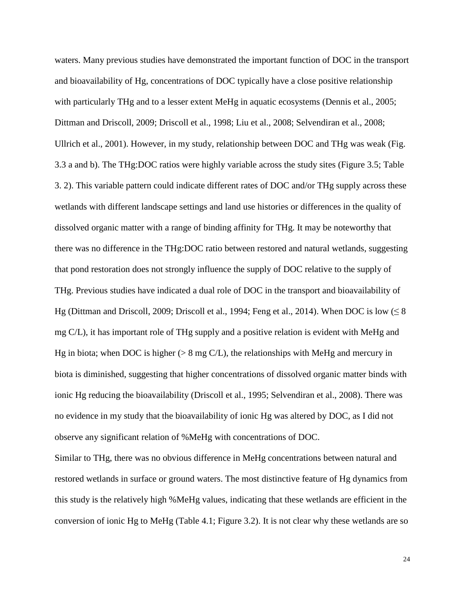waters. Many previous studies have demonstrated the important function of DOC in the transport and bioavailability of Hg, concentrations of DOC typically have a close positive relationship with particularly THg and to a lesser extent MeHg in aquatic ecosystems (Dennis et al., 2005; Dittman and Driscoll, 2009; Driscoll et al., 1998; Liu et al., 2008; Selvendiran et al., 2008; Ullrich et al., 2001). However, in my study, relationship between DOC and THg was weak (Fig. 3.3 a and b). The THg:DOC ratios were highly variable across the study sites (Figure 3.5; Table 3. 2). This variable pattern could indicate different rates of DOC and/or THg supply across these wetlands with different landscape settings and land use histories or differences in the quality of dissolved organic matter with a range of binding affinity for THg. It may be noteworthy that there was no difference in the THg:DOC ratio between restored and natural wetlands, suggesting that pond restoration does not strongly influence the supply of DOC relative to the supply of THg. Previous studies have indicated a dual role of DOC in the transport and bioavailability of Hg (Dittman and Driscoll, 2009; Driscoll et al., 1994; Feng et al., 2014). When DOC is low  $(\leq 8)$ mg C/L), it has important role of THg supply and a positive relation is evident with MeHg and Hg in biota; when DOC is higher ( $> 8 \text{ mg C/L}$ ), the relationships with MeHg and mercury in biota is diminished, suggesting that higher concentrations of dissolved organic matter binds with ionic Hg reducing the bioavailability (Driscoll et al., 1995; Selvendiran et al., 2008). There was no evidence in my study that the bioavailability of ionic Hg was altered by DOC, as I did not observe any significant relation of %MeHg with concentrations of DOC.

Similar to THg, there was no obvious difference in MeHg concentrations between natural and restored wetlands in surface or ground waters. The most distinctive feature of Hg dynamics from this study is the relatively high %MeHg values, indicating that these wetlands are efficient in the conversion of ionic Hg to MeHg (Table 4.1; Figure 3.2). It is not clear why these wetlands are so

24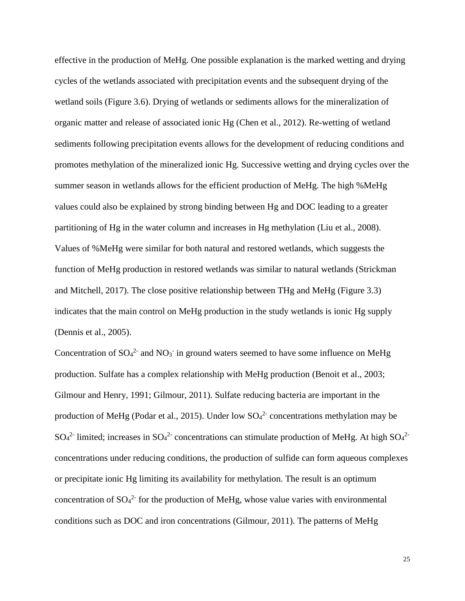effective in the production of MeHg. One possible explanation is the marked wetting and drying cycles of the wetlands associated with precipitation events and the subsequent drying of the wetland soils (Figure 3.6). Drying of wetlands or sediments allows for the mineralization of organic matter and release of associated ionic Hg (Chen et al., 2012). Re-wetting of wetland sediments following precipitation events allows for the development of reducing conditions and promotes methylation of the mineralized ionic Hg. Successive wetting and drying cycles over the summer season in wetlands allows for the efficient production of MeHg. The high %MeHg values could also be explained by strong binding between Hg and DOC leading to a greater partitioning of Hg in the water column and increases in Hg methylation (Liu et al., 2008). Values of %MeHg were similar for both natural and restored wetlands, which suggests the function of MeHg production in restored wetlands was similar to natural wetlands (Strickman and Mitchell, 2017). The close positive relationship between THg and MeHg (Figure 3.3) indicates that the main control on MeHg production in the study wetlands is ionic Hg supply (Dennis et al., 2005).

Concentration of  $SO_4^2$  and  $NO_3$  in ground waters seemed to have some influence on MeHg production. Sulfate has a complex relationship with MeHg production (Benoit et al., 2003; Gilmour and Henry, 1991; Gilmour, 2011). Sulfate reducing bacteria are important in the production of MeHg (Podar et al., 2015). Under low  $SO_4^2$  concentrations methylation may be  $SO_4^2$ - limited; increases in  $SO_4^2$ - concentrations can stimulate production of MeHg. At high  $SO_4^2$ concentrations under reducing conditions, the production of sulfide can form aqueous complexes or precipitate ionic Hg limiting its availability for methylation. The result is an optimum concentration of  $SO_4^2$  for the production of MeHg, whose value varies with environmental conditions such as DOC and iron concentrations (Gilmour, 2011). The patterns of MeHg

25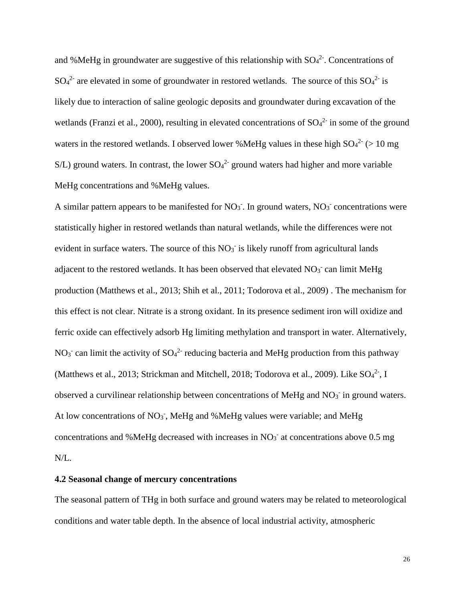and %MeHg in groundwater are suggestive of this relationship with  $SO_4^2$ . Concentrations of  $SO_4^2$  are elevated in some of groundwater in restored wetlands. The source of this  $SO_4^2$  is likely due to interaction of saline geologic deposits and groundwater during excavation of the wetlands (Franzi et al., 2000), resulting in elevated concentrations of  $SO<sub>4</sub><sup>2</sup>$  in some of the ground waters in the restored wetlands. I observed lower %MeHg values in these high  $SO_4^2$  (> 10 mg  $S/L$ ) ground waters. In contrast, the lower  $SO_4^2$  ground waters had higher and more variable MeHg concentrations and %MeHg values.

A similar pattern appears to be manifested for  $NO<sub>3</sub>$ . In ground waters,  $NO<sub>3</sub>$  concentrations were statistically higher in restored wetlands than natural wetlands, while the differences were not evident in surface waters. The source of this  $NO<sub>3</sub>$  is likely runoff from agricultural lands adjacent to the restored wetlands. It has been observed that elevated  $NO<sub>3</sub>$  can limit MeHg production (Matthews et al., 2013; Shih et al., 2011; Todorova et al., 2009) . The mechanism for this effect is not clear. Nitrate is a strong oxidant. In its presence sediment iron will oxidize and ferric oxide can effectively adsorb Hg limiting methylation and transport in water. Alternatively, NO<sub>3</sub> can limit the activity of  $SO_4^2$  reducing bacteria and MeHg production from this pathway (Matthews et al., 2013; Strickman and Mitchell, 2018; Todorova et al., 2009). Like  $SO_4^2$ , I observed a curvilinear relationship between concentrations of MeHg and  $NO<sub>3</sub>$  in ground waters. At low concentrations of  $NO<sub>3</sub>$ , MeHg and %MeHg values were variable; and MeHg concentrations and %MeHg decreased with increases in  $NO<sub>3</sub>$ <sup>-</sup> at concentrations above 0.5 mg N/L.

### <span id="page-35-0"></span>**4.2 Seasonal change of mercury concentrations**

The seasonal pattern of THg in both surface and ground waters may be related to meteorological conditions and water table depth. In the absence of local industrial activity, atmospheric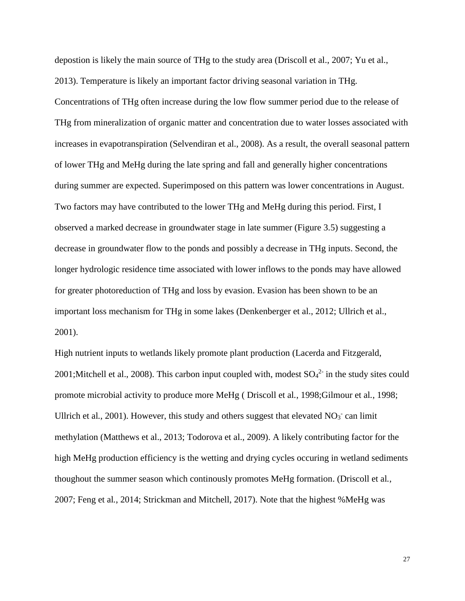depostion is likely the main source of THg to the study area (Driscoll et al., 2007; Yu et al., 2013). Temperature is likely an important factor driving seasonal variation in THg. Concentrations of THg often increase during the low flow summer period due to the release of THg from mineralization of organic matter and concentration due to water losses associated with increases in evapotranspiration (Selvendiran et al., 2008). As a result, the overall seasonal pattern of lower THg and MeHg during the late spring and fall and generally higher concentrations during summer are expected. Superimposed on this pattern was lower concentrations in August. Two factors may have contributed to the lower THg and MeHg during this period. First, I observed a marked decrease in groundwater stage in late summer (Figure 3.5) suggesting a decrease in groundwater flow to the ponds and possibly a decrease in THg inputs. Second, the longer hydrologic residence time associated with lower inflows to the ponds may have allowed for greater photoreduction of THg and loss by evasion. Evasion has been shown to be an important loss mechanism for THg in some lakes (Denkenberger et al., 2012; Ullrich et al., 2001).

High nutrient inputs to wetlands likely promote plant production (Lacerda and Fitzgerald, 2001; Mitchell et al., 2008). This carbon input coupled with, modest  $SO_4^2$  in the study sites could promote microbial activity to produce more MeHg ( Driscoll et al*.*, 1998;Gilmour et al*.*, 1998; Ullrich et al., 2001). However, this study and others suggest that elevated  $NO<sub>3</sub>$  can limit methylation (Matthews et al., 2013; Todorova et al., 2009). A likely contributing factor for the high MeHg production efficiency is the wetting and drying cycles occuring in wetland sediments thoughout the summer season which continously promotes MeHg formation. (Driscoll et al*.*, 2007; Feng et al*.*, 2014; Strickman and Mitchell, 2017). Note that the highest %MeHg was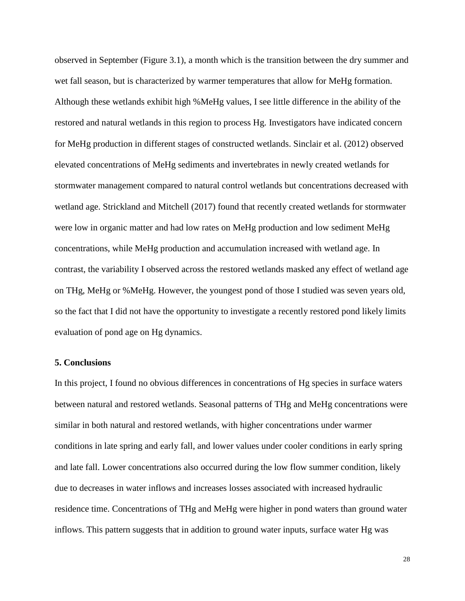observed in September (Figure 3.1), a month which is the transition between the dry summer and wet fall season, but is characterized by warmer temperatures that allow for MeHg formation. Although these wetlands exhibit high %MeHg values, I see little difference in the ability of the restored and natural wetlands in this region to process Hg. Investigators have indicated concern for MeHg production in different stages of constructed wetlands. Sinclair et al. (2012) observed elevated concentrations of MeHg sediments and invertebrates in newly created wetlands for stormwater management compared to natural control wetlands but concentrations decreased with wetland age. Strickland and Mitchell (2017) found that recently created wetlands for stormwater were low in organic matter and had low rates on MeHg production and low sediment MeHg concentrations, while MeHg production and accumulation increased with wetland age. In contrast, the variability I observed across the restored wetlands masked any effect of wetland age on THg, MeHg or %MeHg. However, the youngest pond of those I studied was seven years old, so the fact that I did not have the opportunity to investigate a recently restored pond likely limits evaluation of pond age on Hg dynamics.

### **5. Conclusions**

In this project, I found no obvious differences in concentrations of Hg species in surface waters between natural and restored wetlands. Seasonal patterns of THg and MeHg concentrations were similar in both natural and restored wetlands, with higher concentrations under warmer conditions in late spring and early fall, and lower values under cooler conditions in early spring and late fall. Lower concentrations also occurred during the low flow summer condition, likely due to decreases in water inflows and increases losses associated with increased hydraulic residence time. Concentrations of THg and MeHg were higher in pond waters than ground water inflows. This pattern suggests that in addition to ground water inputs, surface water Hg was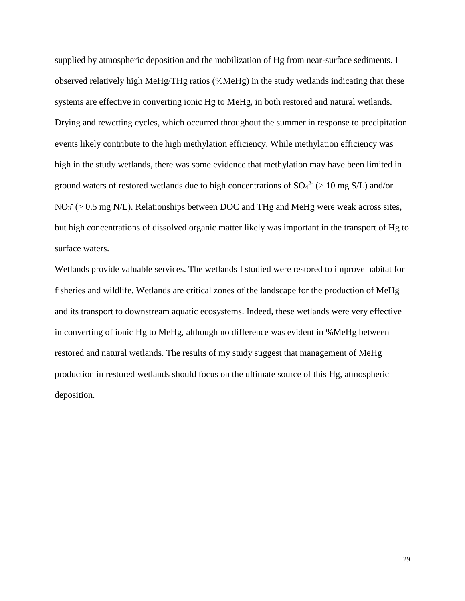supplied by atmospheric deposition and the mobilization of Hg from near-surface sediments. I observed relatively high MeHg/THg ratios (%MeHg) in the study wetlands indicating that these systems are effective in converting ionic Hg to MeHg, in both restored and natural wetlands. Drying and rewetting cycles, which occurred throughout the summer in response to precipitation events likely contribute to the high methylation efficiency. While methylation efficiency was high in the study wetlands, there was some evidence that methylation may have been limited in ground waters of restored wetlands due to high concentrations of  $SO_4^2$  (> 10 mg S/L) and/or  $NO<sub>3</sub><sup>-</sup>$  (> 0.5 mg N/L). Relationships between DOC and THg and MeHg were weak across sites, but high concentrations of dissolved organic matter likely was important in the transport of Hg to surface waters.

Wetlands provide valuable services. The wetlands I studied were restored to improve habitat for fisheries and wildlife. Wetlands are critical zones of the landscape for the production of MeHg and its transport to downstream aquatic ecosystems. Indeed, these wetlands were very effective in converting of ionic Hg to MeHg, although no difference was evident in %MeHg between restored and natural wetlands. The results of my study suggest that management of MeHg production in restored wetlands should focus on the ultimate source of this Hg, atmospheric deposition.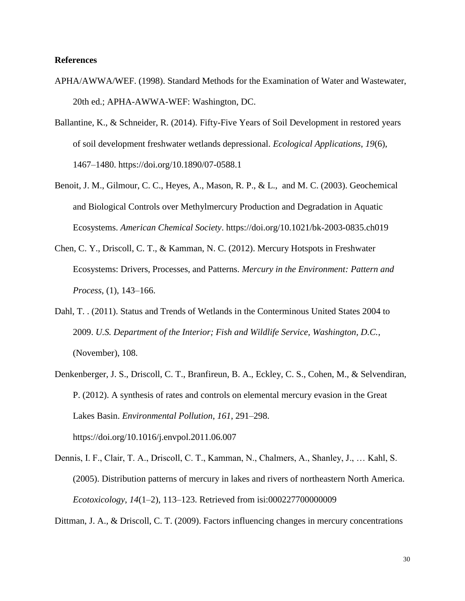### <span id="page-39-0"></span>**References**

- APHA/AWWA/WEF. (1998). Standard Methods for the Examination of Water and Wastewater, 20th ed.; APHA-AWWA-WEF: Washington, DC.
- Ballantine, K., & Schneider, R. (2014). Fifty-Five Years of Soil Development in restored years of soil development freshwater wetlands depressional. *Ecological Applications*, *19*(6), 1467–1480. https://doi.org/10.1890/07-0588.1
- Benoit, J. M., Gilmour, C. C., Heyes, A., Mason, R. P., & L., and M. C. (2003). Geochemical and Biological Controls over Methylmercury Production and Degradation in Aquatic Ecosystems. *American Chemical Society*. https://doi.org/10.1021/bk-2003-0835.ch019
- Chen, C. Y., Driscoll, C. T., & Kamman, N. C. (2012). Mercury Hotspots in Freshwater Ecosystems: Drivers, Processes, and Patterns. *Mercury in the Environment: Pattern and Process*, (1), 143–166.
- Dahl, T. . (2011). Status and Trends of Wetlands in the Conterminous United States 2004 to 2009. *U.S. Department of the Interior; Fish and Wildlife Service, Washington, D.C.*, (November), 108.
- Denkenberger, J. S., Driscoll, C. T., Branfireun, B. A., Eckley, C. S., Cohen, M., & Selvendiran, P. (2012). A synthesis of rates and controls on elemental mercury evasion in the Great Lakes Basin. *Environmental Pollution*, *161*, 291–298. https://doi.org/10.1016/j.envpol.2011.06.007
- Dennis, I. F., Clair, T. A., Driscoll, C. T., Kamman, N., Chalmers, A., Shanley, J., … Kahl, S. (2005). Distribution patterns of mercury in lakes and rivers of northeastern North America. *Ecotoxicology*, *14*(1–2), 113–123. Retrieved from isi:000227700000009

Dittman, J. A., & Driscoll, C. T. (2009). Factors influencing changes in mercury concentrations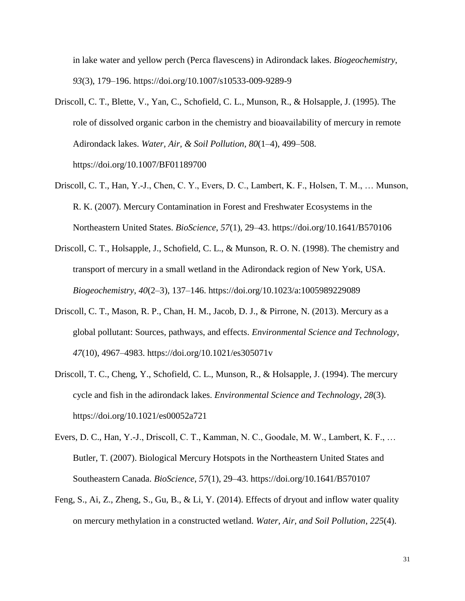in lake water and yellow perch (Perca flavescens) in Adirondack lakes. *Biogeochemistry*, *93*(3), 179–196. https://doi.org/10.1007/s10533-009-9289-9

- Driscoll, C. T., Blette, V., Yan, C., Schofield, C. L., Munson, R., & Holsapple, J. (1995). The role of dissolved organic carbon in the chemistry and bioavailability of mercury in remote Adirondack lakes. *Water, Air, & Soil Pollution*, *80*(1–4), 499–508. https://doi.org/10.1007/BF01189700
- Driscoll, C. T., Han, Y.-J., Chen, C. Y., Evers, D. C., Lambert, K. F., Holsen, T. M., … Munson, R. K. (2007). Mercury Contamination in Forest and Freshwater Ecosystems in the Northeastern United States. *BioScience*, *57*(1), 29–43. https://doi.org/10.1641/B570106
- Driscoll, C. T., Holsapple, J., Schofield, C. L., & Munson, R. O. N. (1998). The chemistry and transport of mercury in a small wetland in the Adirondack region of New York, USA. *Biogeochemistry*, *40*(2–3), 137–146. https://doi.org/10.1023/a:1005989229089
- Driscoll, C. T., Mason, R. P., Chan, H. M., Jacob, D. J., & Pirrone, N. (2013). Mercury as a global pollutant: Sources, pathways, and effects. *Environmental Science and Technology*, *47*(10), 4967–4983. https://doi.org/10.1021/es305071v
- Driscoll, T. C., Cheng, Y., Schofield, C. L., Munson, R., & Holsapple, J. (1994). The mercury cycle and fish in the adirondack lakes. *Environmental Science and Technology*, *28*(3). https://doi.org/10.1021/es00052a721
- Evers, D. C., Han, Y.-J., Driscoll, C. T., Kamman, N. C., Goodale, M. W., Lambert, K. F., … Butler, T. (2007). Biological Mercury Hotspots in the Northeastern United States and Southeastern Canada. *BioScience*, *57*(1), 29–43. https://doi.org/10.1641/B570107
- Feng, S., Ai, Z., Zheng, S., Gu, B., & Li, Y. (2014). Effects of dryout and inflow water quality on mercury methylation in a constructed wetland. *Water, Air, and Soil Pollution*, *225*(4).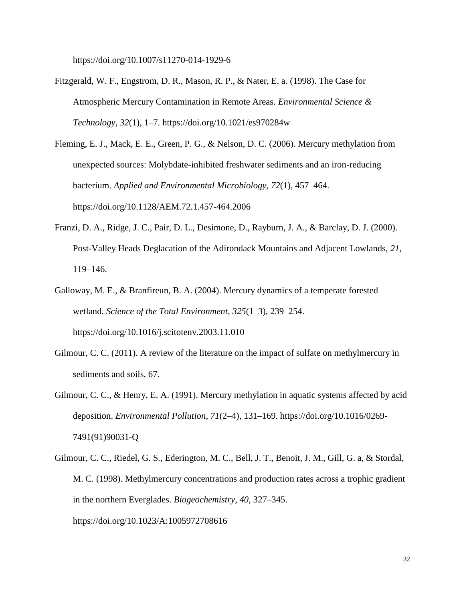https://doi.org/10.1007/s11270-014-1929-6

- Fitzgerald, W. F., Engstrom, D. R., Mason, R. P., & Nater, E. a. (1998). The Case for Atmospheric Mercury Contamination in Remote Areas. *Environmental Science & Technology*, *32*(1), 1–7. https://doi.org/10.1021/es970284w
- Fleming, E. J., Mack, E. E., Green, P. G., & Nelson, D. C. (2006). Mercury methylation from unexpected sources: Molybdate-inhibited freshwater sediments and an iron-reducing bacterium. *Applied and Environmental Microbiology*, *72*(1), 457–464. https://doi.org/10.1128/AEM.72.1.457-464.2006
- Franzi, D. A., Ridge, J. C., Pair, D. L., Desimone, D., Rayburn, J. A., & Barclay, D. J. (2000). Post-Valley Heads Deglacation of the Adirondack Mountains and Adjacent Lowlands, *21*, 119–146.
- Galloway, M. E., & Branfireun, B. A. (2004). Mercury dynamics of a temperate forested wetland. *Science of the Total Environment*, *325*(1–3), 239–254. https://doi.org/10.1016/j.scitotenv.2003.11.010
- Gilmour, C. C. (2011). A review of the literature on the impact of sulfate on methylmercury in sediments and soils, 67.
- Gilmour, C. C., & Henry, E. A. (1991). Mercury methylation in aquatic systems affected by acid deposition. *Environmental Pollution*, *71*(2–4), 131–169. https://doi.org/10.1016/0269- 7491(91)90031-Q
- Gilmour, C. C., Riedel, G. S., Ederington, M. C., Bell, J. T., Benoit, J. M., Gill, G. a, & Stordal, M. C. (1998). Methylmercury concentrations and production rates across a trophic gradient in the northern Everglades. *Biogeochemistry*, *40*, 327–345. https://doi.org/10.1023/A:1005972708616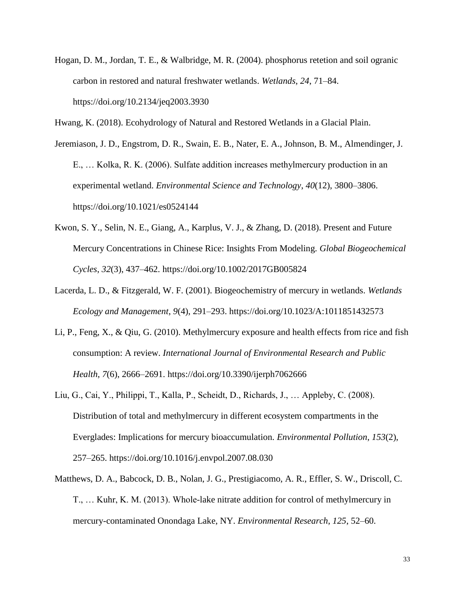Hogan, D. M., Jordan, T. E., & Walbridge, M. R. (2004). phosphorus retetion and soil ogranic carbon in restored and natural freshwater wetlands. *Wetlands*, *24*, 71–84. https://doi.org/10.2134/jeq2003.3930

Hwang, K. (2018). Ecohydrology of Natural and Restored Wetlands in a Glacial Plain.

Jeremiason, J. D., Engstrom, D. R., Swain, E. B., Nater, E. A., Johnson, B. M., Almendinger, J. E., … Kolka, R. K. (2006). Sulfate addition increases methylmercury production in an experimental wetland. *Environmental Science and Technology*, *40*(12), 3800–3806. https://doi.org/10.1021/es0524144

- Kwon, S. Y., Selin, N. E., Giang, A., Karplus, V. J., & Zhang, D. (2018). Present and Future Mercury Concentrations in Chinese Rice: Insights From Modeling. *Global Biogeochemical Cycles*, *32*(3), 437–462. https://doi.org/10.1002/2017GB005824
- Lacerda, L. D., & Fitzgerald, W. F. (2001). Biogeochemistry of mercury in wetlands. *Wetlands Ecology and Management*, *9*(4), 291–293. https://doi.org/10.1023/A:1011851432573
- Li, P., Feng, X., & Qiu, G. (2010). Methylmercury exposure and health effects from rice and fish consumption: A review. *International Journal of Environmental Research and Public Health*, *7*(6), 2666–2691. https://doi.org/10.3390/ijerph7062666
- Liu, G., Cai, Y., Philippi, T., Kalla, P., Scheidt, D., Richards, J., … Appleby, C. (2008). Distribution of total and methylmercury in different ecosystem compartments in the Everglades: Implications for mercury bioaccumulation. *Environmental Pollution*, *153*(2), 257–265. https://doi.org/10.1016/j.envpol.2007.08.030
- Matthews, D. A., Babcock, D. B., Nolan, J. G., Prestigiacomo, A. R., Effler, S. W., Driscoll, C. T., … Kuhr, K. M. (2013). Whole-lake nitrate addition for control of methylmercury in mercury-contaminated Onondaga Lake, NY. *Environmental Research*, *125*, 52–60.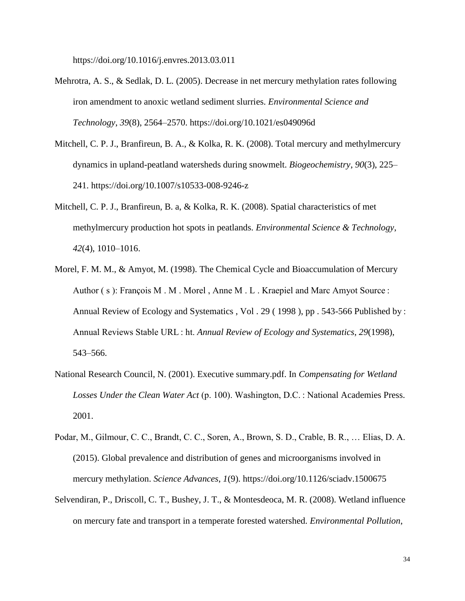https://doi.org/10.1016/j.envres.2013.03.011

- Mehrotra, A. S., & Sedlak, D. L. (2005). Decrease in net mercury methylation rates following iron amendment to anoxic wetland sediment slurries. *Environmental Science and Technology*, *39*(8), 2564–2570. https://doi.org/10.1021/es049096d
- Mitchell, C. P. J., Branfireun, B. A., & Kolka, R. K. (2008). Total mercury and methylmercury dynamics in upland-peatland watersheds during snowmelt. *Biogeochemistry*, *90*(3), 225– 241. https://doi.org/10.1007/s10533-008-9246-z
- Mitchell, C. P. J., Branfireun, B. a, & Kolka, R. K. (2008). Spatial characteristics of met methylmercury production hot spots in peatlands. *Environmental Science & Technology*, *42*(4), 1010–1016.
- Morel, F. M. M., & Amyot, M. (1998). The Chemical Cycle and Bioaccumulation of Mercury Author (s): François M. M. Morel, Anne M. L. Kraepiel and Marc Amyot Source : Annual Review of Ecology and Systematics , Vol . 29 ( 1998 ), pp . 543-566 Published by : Annual Reviews Stable URL : ht. *Annual Review of Ecology and Systematics*, *29*(1998), 543–566.
- National Research Council, N. (2001). Executive summary.pdf. In *Compensating for Wetland Losses Under the Clean Water Act* (p. 100). Washington, D.C. : National Academies Press. 2001.
- Podar, M., Gilmour, C. C., Brandt, C. C., Soren, A., Brown, S. D., Crable, B. R., … Elias, D. A. (2015). Global prevalence and distribution of genes and microorganisms involved in mercury methylation. *Science Advances*, *1*(9). https://doi.org/10.1126/sciadv.1500675
- Selvendiran, P., Driscoll, C. T., Bushey, J. T., & Montesdeoca, M. R. (2008). Wetland influence on mercury fate and transport in a temperate forested watershed. *Environmental Pollution*,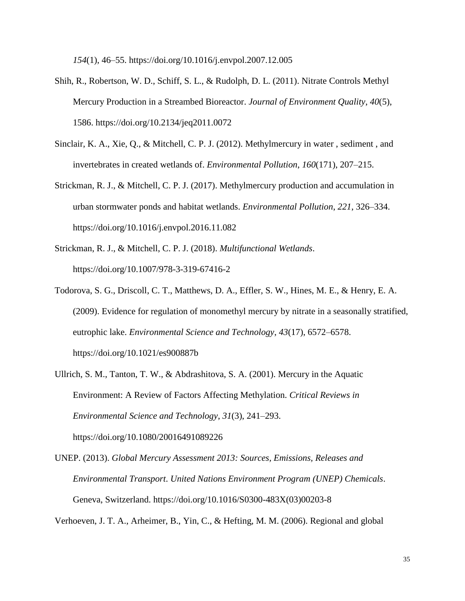*154*(1), 46–55. https://doi.org/10.1016/j.envpol.2007.12.005

- Shih, R., Robertson, W. D., Schiff, S. L., & Rudolph, D. L. (2011). Nitrate Controls Methyl Mercury Production in a Streambed Bioreactor. *Journal of Environment Quality*, *40*(5), 1586. https://doi.org/10.2134/jeq2011.0072
- Sinclair, K. A., Xie, Q., & Mitchell, C. P. J. (2012). Methylmercury in water , sediment , and invertebrates in created wetlands of. *Environmental Pollution*, *160*(171), 207–215.
- Strickman, R. J., & Mitchell, C. P. J. (2017). Methylmercury production and accumulation in urban stormwater ponds and habitat wetlands. *Environmental Pollution*, *221*, 326–334. https://doi.org/10.1016/j.envpol.2016.11.082
- Strickman, R. J., & Mitchell, C. P. J. (2018). *Multifunctional Wetlands*. https://doi.org/10.1007/978-3-319-67416-2
- Todorova, S. G., Driscoll, C. T., Matthews, D. A., Effler, S. W., Hines, M. E., & Henry, E. A. (2009). Evidence for regulation of monomethyl mercury by nitrate in a seasonally stratified, eutrophic lake. *Environmental Science and Technology*, *43*(17), 6572–6578. https://doi.org/10.1021/es900887b
- Ullrich, S. M., Tanton, T. W., & Abdrashitova, S. A. (2001). Mercury in the Aquatic Environment: A Review of Factors Affecting Methylation. *Critical Reviews in Environmental Science and Technology*, *31*(3), 241–293. https://doi.org/10.1080/20016491089226
- UNEP. (2013). *Global Mercury Assessment 2013: Sources, Emissions, Releases and Environmental Transport*. *United Nations Environment Program (UNEP) Chemicals*. Geneva, Switzerland. https://doi.org/10.1016/S0300-483X(03)00203-8

Verhoeven, J. T. A., Arheimer, B., Yin, C., & Hefting, M. M. (2006). Regional and global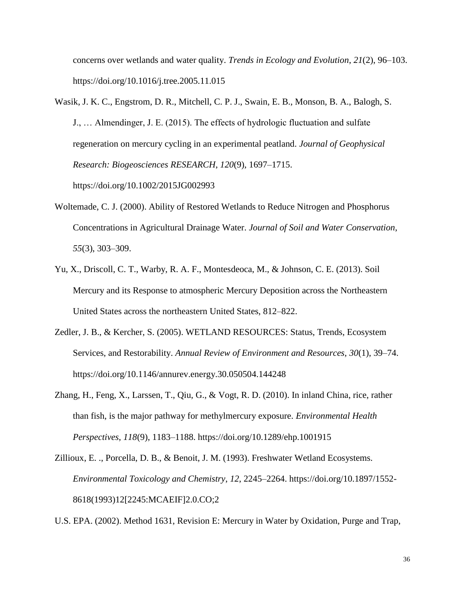concerns over wetlands and water quality. *Trends in Ecology and Evolution*, *21*(2), 96–103. https://doi.org/10.1016/j.tree.2005.11.015

- Wasik, J. K. C., Engstrom, D. R., Mitchell, C. P. J., Swain, E. B., Monson, B. A., Balogh, S. J., … Almendinger, J. E. (2015). The effects of hydrologic fluctuation and sulfate regeneration on mercury cycling in an experimental peatland. *Journal of Geophysical Research: Biogeosciences RESEARCH*, *120*(9), 1697–1715. https://doi.org/10.1002/2015JG002993
- Woltemade, C. J. (2000). Ability of Restored Wetlands to Reduce Nitrogen and Phosphorus Concentrations in Agricultural Drainage Water. *Journal of Soil and Water Conservation*, *55*(3), 303–309.
- Yu, X., Driscoll, C. T., Warby, R. A. F., Montesdeoca, M., & Johnson, C. E. (2013). Soil Mercury and its Response to atmospheric Mercury Deposition across the Northeastern United States across the northeastern United States, 812–822.
- Zedler, J. B., & Kercher, S. (2005). WETLAND RESOURCES: Status, Trends, Ecosystem Services, and Restorability. *Annual Review of Environment and Resources*, *30*(1), 39–74. https://doi.org/10.1146/annurev.energy.30.050504.144248
- Zhang, H., Feng, X., Larssen, T., Qiu, G., & Vogt, R. D. (2010). In inland China, rice, rather than fish, is the major pathway for methylmercury exposure. *Environmental Health Perspectives*, *118*(9), 1183–1188. https://doi.org/10.1289/ehp.1001915
- Zillioux, E. ., Porcella, D. B., & Benoit, J. M. (1993). Freshwater Wetland Ecosystems. *Environmental Toxicology and Chemistry*, *12*, 2245–2264. https://doi.org/10.1897/1552- 8618(1993)12[2245:MCAEIF]2.0.CO;2

U.S. EPA. (2002). Method 1631, Revision E: Mercury in Water by Oxidation, Purge and Trap,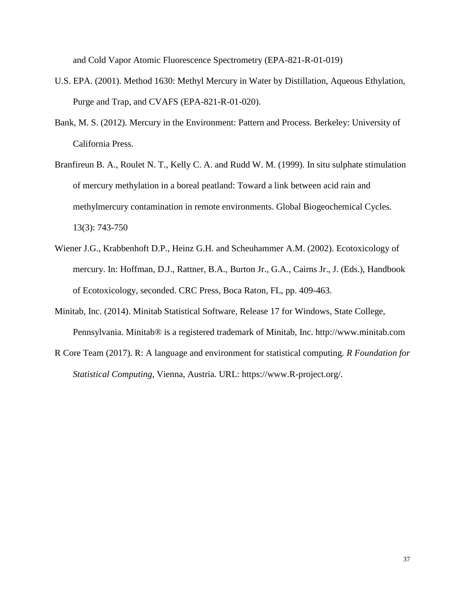and Cold Vapor Atomic Fluorescence Spectrometry (EPA-821-R-01-019)

- U.S. EPA. (2001). Method 1630: Methyl Mercury in Water by Distillation, Aqueous Ethylation, Purge and Trap, and CVAFS (EPA-821-R-01-020).
- Bank, M. S. (2012). Mercury in the Environment: Pattern and Process. Berkeley: University of California Press.
- Branfireun B. A., Roulet N. T., Kelly C. A. and Rudd W. M. (1999). In situ sulphate stimulation of mercury methylation in a boreal peatland: Toward a link between acid rain and methylmercury contamination in remote environments. Global Biogeochemical Cycles. 13(3): 743-750
- Wiener J.G., Krabbenhoft D.P., Heinz G.H. and Scheuhammer A.M. (2002). Ecotoxicology of mercury. In: Hoffman, D.J., Rattner, B.A., Burton Jr., G.A., Cairns Jr., J. (Eds.), Handbook of Ecotoxicology, seconded. CRC Press, Boca Raton, FL, pp. 409-463.
- Minitab, Inc. (2014). Minitab Statistical Software, Release 17 for Windows, State College, Pennsylvania. Minitab® is a registered trademark of Minitab, Inc. http://www.minitab.com
- R Core Team (2017). R: A language and environment for statistical computing. *R Foundation for Statistical Computing*, Vienna, Austria. URL: https://www.R-project.org/.